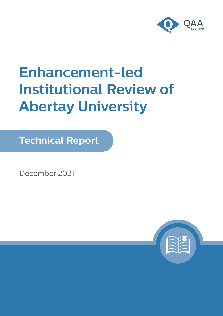

# **Enhancement-led Institutional Review of Abertay University**

**Technical Report**

December 2021

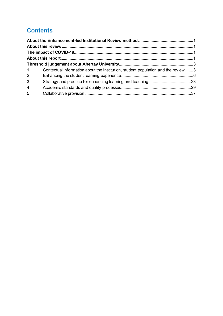# **Contents**

| $1 \quad \blacksquare$ | Contextual information about the institution, student population and the review 3 |  |
|------------------------|-----------------------------------------------------------------------------------|--|
| $2^{\circ}$            |                                                                                   |  |
| 3 <sup>1</sup>         |                                                                                   |  |
| $\overline{4}$         |                                                                                   |  |
| 5                      |                                                                                   |  |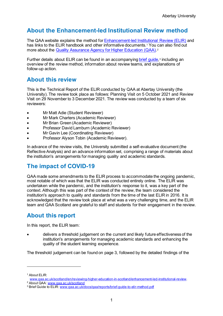# <span id="page-2-0"></span>**About the Enhancement-led Institutional Review method**

The QAA website explains the method for [Enhancement-led Institutional Review \(ELIR\)](http://www.qaa.ac.uk/scotland/en/reviewing-higher-education-in-scotland/enhancement-led-institutional-review) and has links to the ELIR handbook and other informative documents.<sup>[1](#page-2-4)</sup> You can also find out more about the [Quality Assurance Agency for Higher Education \(QAA\)](http://www.qaa.ac.uk/scotland).<sup>[2](#page-2-5)</sup>

Further details about ELIR can be found in an accompanyin[g brief guide,](http://www.qaa.ac.uk/docs/qaa/reports/brief-guide-to-elir-method.pdf)<sup>[3](#page-2-6)</sup> including an overview of the review method, information about review teams, and explanations of follow-up action.

# <span id="page-2-1"></span>**About this review**

This is the Technical Report of the ELIR conducted by QAA at Abertay University (the University). The review took place as follows: Planning Visit on 5 October 2021 and Review Visit on 29 November to 3 December 2021. The review was conducted by a team of six reviewers:

- Mr Matt Adie (Student Reviewer)
- Mr Mark Charters (Academic Reviewer)
- Mr Brian Green (Academic Reviewer)
- Professor David Lamburn (Academic Reviewer)
- Mr Gavin Lee (Coordinating Reviewer)
- Professor Alyson Tobin (Academic Reviewer).

In advance of the review visits, the University submitted a self-evaluative document (the Reflective Analysis) and an advance information set, comprising a range of materials about the institution's arrangements for managing quality and academic standards.

# <span id="page-2-2"></span>**The impact of COVID-19**

QAA made some amendments to the ELIR process to accommodate the ongoing pandemic, most notable of which was that the ELIR was conducted entirely online. The ELIR was undertaken while the pandemic, and the institution's response to it, was a key part of the context. Although this was part of the context of the review, the team considered the institution's approach to quality and standards from the time of the last ELIR in 2016. It is acknowledged that the review took place at what was a very challenging time, and the ELIR team and QAA Scotland are grateful to staff and students for their engagement in the review.

# <span id="page-2-3"></span>**About this report**

In this report, the ELIR team:

• delivers a threshold judgement on the current and likely future effectiveness of the institution's arrangements for managing academic standards and enhancing the quality of the student learning experience.

The threshold judgement can be found on page 3, followed by the detailed findings of the

<sup>1</sup> About ELIR:

<span id="page-2-4"></span>[www.qaa.ac.uk/scotland/en/reviewing-higher-education-in-scotland/enhancement-led-institutional-review](http://www.qaa.ac.uk/scotland/en/reviewing-higher-education-in-scotland/enhancement-led-institutional-review). 2 About QAA: [www.qaa.ac.uk/scotland](http://www.qaa.ac.uk/scotland)

<span id="page-2-6"></span><span id="page-2-5"></span><sup>&</sup>lt;sup>3</sup> Brief Guide to ELIR: www.gaa.ac.uk/docs/gaa/reports/brief-guide-to-elir-method.pdf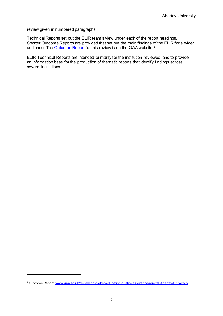review given in numbered paragraphs.

Technical Reports set out the ELIR team's view under each of the report headings. Shorter Outcome Reports are provided that set out the main findings of the ELIR for a wider audience. The **Outcome Report** for this review is on the QAA website.<sup>[4](#page-3-0)</sup>

ELIR Technical Reports are intended primarily for the institution reviewed, and to provide an information base for the production of thematic reports that identify findings across several institutions.

<span id="page-3-0"></span><sup>4</sup> Outcome Report: [www.qaa.ac.uk/reviewing-higher-education/quality-assurance-reports/Abertay-University](https://www.qaa.ac.uk/reviewing-higher-education/quality-assurance-reports/Abertay-University)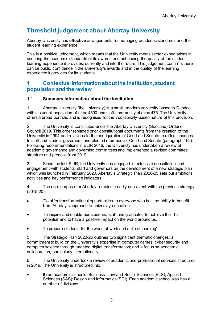# <span id="page-4-0"></span>**Threshold judgement about Abertay University**

Abertay University has **effective** arrangements for managing academic standards and the student learning experience.

This is a positive judgement, which means that the University meets sector expectations in securing the academic standards of its awards and enhancing the quality of the student learning experience it provides, currently and into the future. This judgement confirms there can be public confidence in the University's awards and in the quality of the learning experience it provides for its students.

# <span id="page-4-1"></span>**1 Contextual information about the institution, student population and the review**

#### **1.1 Summary information about the institution**

1 Abertay University (the University) is a small, modern university based in Dundee with a student population of circa 4500 and staff community of circa 475. The University offers a broad portfolio and is recognised for the vocationally-based nature of this provision.

2 The University is constituted under the Abertay University (Scotland) Order of Council 2019. This order replaced prior constitutional documents from the creation of the University in 1994 and revisions to the configuration of Court and Senate to reflect changes to staff and student governors, and elected members of Court and Senate (paragraph 162). Following recommendations in ELIR 2016, the University has undertaken a review of academic governance and governing committees and implemented a revised committee structure and process from 2019.

3 Since the last ELIR, the University has engaged in extensive consultation and engagement with students, staff and governors on the development of a new strategic plan which was launched in February 2020. Abertay's Strategic Plan 2020-25 sets out ambitions, activities and key performance indicators.

4 The core purpose for Abertay remains broadly consistent with the previous strategy (2015-20):

- 'To offer transformational opportunities to everyone who has the ability to benefit from Abertay's approach to university education.
- To inspire and enable our students, staff and graduates to achieve their full potential and to have a positive impact on the world around us.
- To prepare students for the world of work and a life of learning'.

5 The Strategic Plan 2020-25 outlines two significant thematic changes: a commitment to build on the University's expertise in computer games, cyber security and computer science through targeted digital transformation; and a focus on academic collaboration, particularly internationally.

6 The University undertook a review of academic and professional services structures in 2019. The University is structured into:

• three academic schools: Business, Law and Social Sciences (BLS); Applied Sciences (SAS); Design and Informatics (SDI). Each academic school also has a number of divisions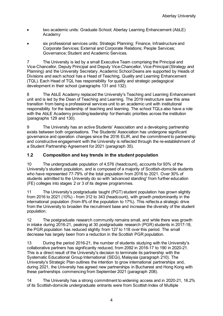- two academic units: Graduate School; Abertay Learning Enhancement (AbLE) Academy
- six professional services units: Strategic Planning; Finance, Infrastructure and Corporate Services; External and Corporate Relations; People Services; Governance; Student and Academic Services.

7 The University is led by a small Executive Team comprising the Principal and Vice-Chancellor, Deputy Principal and Deputy Vice-Chancellor, Vice-Principal (Strategy and Planning) and the University Secretary. Academic School Deans are supported by Heads of Divisions and each school has a Head of Teaching, Quality and Learning Enhancement (TQL). Each Head of TQL has responsibility for quality and strategic pedagogical development in their school (paragraphs 131 and 132).

8 The AbLE Academy replaced the University's Teaching and Learning Enhancement unit and is led by the Dean of Teaching and Learning. The 2019 restructure saw this area transition from being a professional services unit to an academic unit with institutional responsibility for the leadership of teaching and learning. The school TQLs also have a role with the AbLE Academy providing leadership for thematic priorities across the institution (paragraphs 129 and 130).

9 The University has an active Students' Association and a developing partnership exists between both organisations. The Students' Association has undergone significant governance and operation changes since the 2016 ELIR, and the commitment to partnership and constructive engagement with the University is reflected through the re-establishment of a Student Partnership Agreement for 2021 (paragraph 35).

# **1.2 Composition and key trends in the student population**

10 The undergraduate population of 4,576 (headcount), accounts for 93% of the University's student population, and is composed of a majority of Scottish-domicile students who have represented 77-79% of the total population from 2016 to 2021. Over 30% of students admitted to the University do so with 'advanced standing' from further education (FE) colleges into stages 2 or 3 of its degree programmes.

11 The University's postgraduate taught (PGT) student population has grown slightly from 2016 to 2021 (10%) - from 312 to 343 (headcount), with growth predominantly in the international population (from 8% of the population to 17%). This reflects a strategic drive from the University to broaden the recruitment base and increase the diversity of the student population.

12 The postgraduate research community remains small, and while there was growth in intake during 2016-21, peaking at 30 postgraduate research (PGR) students in 2017-18, the PGR population has reduced slightly from 127 to 118 over this period. The small decrease has largely been from a reduction in the Scottish PGR population.

13 During the period 2016-21, the number of students studying with the University's collaborative partners has significantly reduced, from 2092 in 2016-17 to 190 in 2020-21. This is a direct result of the University's decision to terminate its partnership with the Systematic Educational Group International (SEGi), Malaysia (paragraph 210). The University's Strategic Plan outlines the intention to grow international partnerships and, during 2021, the University has agreed new partnerships in Bucharest and Hong Kong with these partnerships commencing from September 2021 (paragraph 208).

14 The University has a strong commitment to widening access and in 2020-21, 16.2% of its Scottish-domicile undergraduate entrants were from Scottish Index of Multiple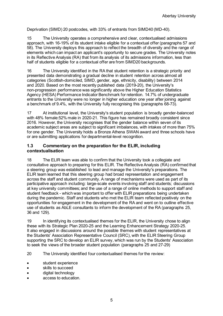Deprivation (SIMD) 20 postcodes, with 33% of entrants from SIMD40 (MD-40).

15 The University operates a comprehensive and clear, contextualised admissions approach, with 16-19% of its student intake eligible for a contextual offer (paragraphs 57 and 58). The University deploys this approach to reflect the breadth of diversity and the range of elements which can impact an applicant's opportunity to secure grades. The University notes in its Reflective Analysis (RA) that from its analysis of its admissions information, less than half of students eligible for a contextual offer are from SIMD20 backgrounds.

16 The University identified in the RA that student retention is a strategic priority and presented data demonstrating a gradual decline in student retention across almost all categories (Scottish-domiciled, SIMD, gender, age, ethnicity, disability) between 2014 and 2020. Based on the most recently published data (2019-20), the University's non-progression performance was significantly above the Higher Education Statistics Agency (HESA) Performance Indicator Benchmark for retention. 14.7% of undergraduate entrants to the University were no longer in higher education one year after joining against a benchmark of 9.4%, with the University fully recognising this (paragraphs 68-73).

17 At institutional level, the University's student population is broadly gender-balanced with 48% female:52% male in 2020-21. This figure has remained broadly consistent since 2016. However, the University recognises that the gender balance within seven of its academic subject areas are subject to significant imbalances, with intakes of more than 75% for one gender. The University holds a Bronze Athena SWAN award and three schools have or are submitting applications for departmental-level recognition.

#### **1.3 Commentary on the preparation for the ELIR, including contextualisation**

18 The ELIR team was able to confirm that the University took a collegiate and consultative approach to preparing for this ELIR. The Reflective Analysis (RA) confirmed that a steering group was established to lead and manage the University's preparations. The ELIR team learned that this steering group had broad representation and engagement across the staff and student community. A range of mechanisms were used as part of its participative approach including: large-scale events involving staff and students; discussions at key university committees; and the use of a range of online methods to support staff and student feedback - which was important to offer with ELIR preparations being undertaken during the pandemic. Staff and students who met the ELIR team reflected positively on the opportunities for engagement in the development of the RA and went on to outline effective use of students as AbLE consultants to inform the development of the RA (paragraphs 25, 36 and 129).

19 In identifying its contextualised themes for the ELIR, the University chose to align these with its Strategic Plan 2020-25 and the Learning Enhancement Strategy 2020-25. It also engaged in discussions around the possible themes with student representatives at the Students' Association Representative Council (SRC), with the ELIR Steering Group supporting the SRC to develop an ELIR survey, which was run by the Students' Association to seek the views of the broader student population (paragraphs 25 and 27-29)

20 The University identified four contextualised themes for the review:

- student experience
- skills to succeed
- digital technology
- access to education.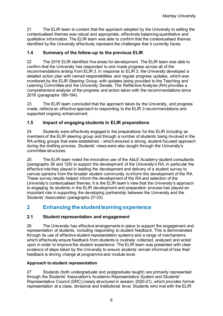21 The ELIR team is content that the approach adopted by the University to setting the contextualised themes was robust and appropriate, effectively balancing quantitative and qualitative information. The ELIR team was able to confirm that the contextualised themes identified by the University effectively represent the challenges that it currently faces.

### **1.4 Summary of the follow-up to the previous ELIR**

22 The 2016 ELIR identified five areas for development. The ELIR team was able to confirm that the University has responded to and made progress across all of the recommendations arising from ELIR 3. In response to ELIR 3, the University developed a detailed action plan with named responsibilities and regular progress updates, which was monitored by the ELIR Steering Group, with updates being provided to the Teaching and Learning Committee and the University Senate. The Reflective Analysis (RA) provides a comprehensive analysis of the progress and action taken with the recommendations since 2016 (paragraphs 189-194).

23 The ELIR team concluded that the approach taken by the University, and progress made, reflects an effective approach to responding to the ELIR 3 recommendations and supported ongoing enhancement.

# **1.5 Impact of engaging students in ELIR preparations**

24 Students were effectively engaged in the preparations for this ELIR including as members of the ELIR steering group and through a number of students being involved in the RA writing groups that were established - which ensured a strong, student-focused approach during the drafting process. Students' views were also sought through the University's committee structures.

25 The ELIR team noted the innovative use of the AbLE Academy student consultants (paragraphs 36 and 129) to support the development of the University's RA, in particular the effective role they played in leading the development and delivery of a student survey to canvas opinions from the broader student community, to inform the development of the RA. These survey results helped inform the development of the RA and selection of the University's contextualised themes. It is the ELIR team's view that the University's approach to engaging its students in the ELIR development and preparation process has played an important role in supporting the developing partnership between the University and the Students' Association (paragraphs 27-33).

# <span id="page-7-0"></span>**2 Enhancing the student learning experience**

# **2.1 Student representation and engagement**

26 The University has effective arrangements in place to support the engagement and representation of students, including responding to student feedback. This is demonstrated through its use of effective student representation systems and a range of mechanisms which effectively ensure feedback from students is routinely collected, analysed and acted upon in order to improve the student experience. The ELIR team was presented with clear evidence of steps taken by the University to ensure students remain informed of how their feedback is driving change at programme and module level.

#### **Approach to student representation**

27 Students (both undergraduate and postgraduate taught) are primarily represented through the Students' Association's Academic Representative System and Students' Representative Council (SRC) (newly structured in session 2020-21), which provides formal representation at a class, divisional and institutional level. Students who met with the ELIR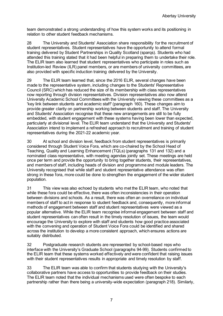team demonstrated a strong understanding of how this system works and its positioning in relation to other student feedback mechanisms.

28 The University and Students' Association share responsibility for the recruitment of student representatives. Student representatives have the opportunity to attend formal training delivered by Student Partnerships in Quality Scotland (sparqs). Students who had attended this training stated that it had been helpful in preparing them to undertake their role. The ELIR team also learned that student representatives who participate in roles such as Institution-led Review (ILR) panel members, or are members of university committees, are also provided with specific induction training delivered by the University.

29 The ELIR team learned that, since the 2016 ELIR, several changes have been made to the representative system, including changes to the Students' Representative Council (SRC) which has reduced the size of its membership with class representatives now reporting through division representatives. Division representatives also now attend University Academic School Committees with the University viewing these committees as a 'key link between students and academic staff' (paragraph 160). These changes aim to provide greater clarity on partnership working between students and staff. The University and Students' Association recognise that these new arrangements are still to be fully embedded, with student engagement with these systems having been lower than expected, particularly at divisional level. The ELIR team understand that the University and Students' Association intend to implement a refreshed approach to recruitment and training of student representatives during the 2021-22 academic year.

30 At school and division level, feedback from student representatives is primarily considered through Student Voice Fora, which are co-chaired by the School Head of Teaching, Quality and Learning Enhancement (TQLs) (paragraphs 131 and 132) and a nominated class representative, with meeting agendas jointly set. These meetings are held once per term and provide the opportunity to bring together students, their representatives, and members of staff, including heads of division and programme and module leaders. The University recognised that while staff and student representative attendance was often strong in these fora, more could be done to strengthen the engagement of the wider student population.

31 This view was also echoed by students who met the ELIR team, who noted that while these fora could be effective, there was often inconsistencies in their operation between divisions and schools. As a result, there was often an overreliance on individual members of staff to act in response to student feedback and, consequently, more informal methods of engagement between staff and student representatives were viewed as a popular alternative. While the ELIR team recognise informal engagement between staff and student representatives can often result in the timely resolution of issues, the team would encourage the University to explore with staff and students how good practice associated with the convening and operation of Student Voice Fora could be identified and shared across the institution to develop a more consistent approach, which ensures actions are suitably distributed.

32 Postgraduate research students are represented by school-based reps who interface with the University's Graduate School (paragraphs 94-99). Students confirmed to the ELIR team that these systems worked effectively and were confident that raising issues with their student representatives results in appropriate and timely resolution by staff.

33 The ELIR team was able to confirm that students studying with the University's collaborative partners have access to opportunities to provide feedback on their studies. The ELIR team noted that the individual mechanisms used were often bespoke to each partnership rather than there being a university-wide expectation (paragraph 218). Similarly,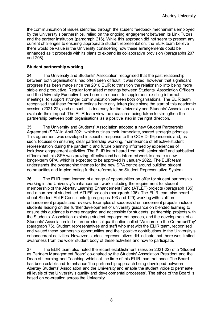the communication of issues identified through the student feedback mechanisms employed by the University's partnerships, relied on the ongoing engagement between its Link Tutors and the partner institution (paragraph 216). While this approach did not seem to present any current challenges to ensuring appropriate student representation, the ELIR team believe there would be value in the University considering how these arrangements could be enhanced as it proceeds with its plans to expand its collaborative provision (paragraphs 207 and 208).

#### **Student partnership working**

34 The University and Students' Association recognised that the past relationship between both organisations had often been difficult. It was noted, however, that significant progress has been made since the 2016 ELIR to transition the relationship into being more stable and productive. Regular formalised meetings between Students' Association Officers and the University Executive have been introduced, to supplement existing informal meetings, to support stronger communication between both organisations. The ELIR team recognised that these formal meetings have only taken place since the start of this academic session (2021-22), and as such it is too early for the University and Students' Association to evaluate their impact. The ELIR team view the measures being taken to strengthen the partnership between both organisations as a positive step in the right direction.

35 The University and Students' Association adopted a new Student Partnership Agreement (SPA) in April 2021 which outlines their immediate, shared strategic priorities. This agreement was developed in specific response to the COVID-19 pandemic and, as such, focuses on ensuring clear partnership working, maintenance of effective student representation during the pandemic and future planning informed by experiences of lockdown engagement activities. The ELIR team heard from both senior staff and sabbatical officers that this SPA was proving effective and has informed work to create a new longer-term SPA, which is expected to be approved in January 2022. The ELIR team understands the overarching themes for the new SPA centre around building student communities and implementing further reforms to the Student Representative System.

36 The ELIR team learned of a range of opportunities on offer for student partnership working in the University's enhancement work including the requirement for student membership of the Abertay Learning Enhancement Fund (ATLEF) projects (paragraph 135) and a number of student-led ATLEF projects (paragraph 136). The ELIR team also heard about Student AbLE Consultants (paragraphs 103 and 129) working with staff on enhancement projects and reviews. Examples of successful enhancement projects include students leading on the further development of university guidance on blended learning to ensure this guidance is more engaging and accessible for students, partnership projects with the Students' Association exploring student engagement spaces, and the development of a Students' Association-led micro-credential qualification called 'Welcome to the CommuniTay' (paragraph 76). Student representatives and staff who met with the ELIR team, recognised and valued these partnership opportunities and their positive contributions to the University's enhancement activities. However, student representatives did indicate that there was limited awareness from the wider student body of these activities and how to participate.

37 The ELIR team also noted the recent establishment (session 2021-22) of a 'Student as Partners Management Board' co-chaired by the Students' Association President and the Dean of Learning and Teaching which, at the time of this ELIR, had met once. The Board has been established to enhance 'the partnership approach being developed between Abertay Students' Association and the University and enable the student voice to permeate all levels of the University's quality and developmental processes'. The ethos of the Board is based on co-creation across the University.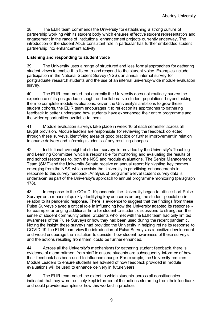38 The ELIR team commends the University for establishing a strong culture of partnership working with its student body which ensures effective student representation and engagement in the range of institutional enhancement projects currently underway. The introduction of the student AbLE consultant role in particular has further embedded student partnership into enhancement activity.

#### **Listening and responding to student voice**

39 The University uses a range of structured and less formal approaches for gathering student views to enable it to listen to and respond to the student voice. Examples include participation in the National Student Survey (NSS), an annual internal survey for postgraduate research students and the use of an internal university-wide module evaluation survey.

40 The ELIR team noted that currently the University does not routinely survey the experience of its postgraduate taught and collaborative student populations beyond asking them to complete module evaluations. Given the University's ambitions to grow these student cohorts, the ELIR team encourages it to reflect on its approaches to gathering feedback to better understand how students have experienced their entire programme and the wider opportunities available to them.

41 Module evaluation surveys take place in week 10 of each semester across all taught provision. Module leaders are responsible for reviewing the feedback collected through these surveys, identifying areas of good practice or further improvement in relation to course delivery and informing students of any resulting changes.

42 Institutional oversight of student surveys is provided by the University's Teaching and Learning Committee, which is responsible for monitoring and evaluating the results of, and school responses to, both the NSS and module evaluations. The Senior Management Team (SMT) and the University Senate receive an annual report highlighting key themes emerging from the NSS, which assists the University in prioritising enhancements in response to this survey feedback. Analysis of programme-level student survey data is undertaken as part of the University's approach to annual programme monitoring (paragraph 178).

43 In response to the COVID-19 pandemic, the University began to utilise short Pulse Surveys as a means of quickly identifying key concerns among the student population in relation to its pandemic response. There is evidence to suggest that the findings from these Pulse Surveys played a critical role in influencing how the University adapted its response for example, arranging additional time for student-to-student discussions to strengthen the sense of student community online. Students who met with the ELIR team had only limited awareness of the Pulse Surveys or how they had been used during the recent pandemic. Noting the insight these surveys had provided the University in helping refine its response to COVID-19, the ELIR team view the introduction of Pulse Surveys as a positive development and would encourage the institution to consider how student awareness of these surveys, and the actions resulting from them, could be further enhanced.

44 Across all the University's mechanisms for gathering student feedback, there is evidence of a commitment from staff to ensure students are subsequently informed of how their feedback has been used to influence change. For example, the University requires Module Leaders to ensure students are advised of how feedback provided in module evaluations will be used to enhance delivery in future years.

45 The ELIR team noted the extent to which students across all constituencies indicated that they were routinely kept informed of the actions stemming from their feedback and could provide examples of how this worked in practice.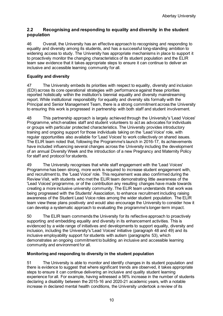# **2.2 Recognising and responding to equality and diversity in the student population**

46 Overall, the University has an effective approach to recognising and responding to equality and diversity among its students, and has a successful long-standing ambition to widening access to study. The University has appropriate mechanisms in place to support it to proactively monitor the changing characteristics of its student population and the ELIR team saw evidence that it takes appropriate steps to ensure it can continue to deliver an inclusive and accessible learning community for all.

#### **Equality and diversity**

47 The University embeds its priorities with respect to equality, diversity and inclusion (EDI) across its core operational strategies with performance against these priorities reported holistically within the institution's biennial equality and diversity mainstreaming report. While institutional responsibility for equality and diversity sits formally with the Principal and Senior Management Team, there is a strong commitment across the University to ensuring this work is progressed in partnership with both staff and student involvement.

48 This partnership approach is largely achieved through the University's 'Lead Voices' Programme, which enables staff and student volunteers to act as advocates for individuals or groups with particular protected characteristics. The University provides introductory training and ongoing support for those individuals taking on the 'Lead Voice' role, with regular opportunities also available for 'Lead Voices' to work collectively on shared issues. The ELIR team noted that, following the Programme's launch in 2016-17, its achievements have included influencing several changes across the University including the development of an annual Diversity Week and the introduction of a new Pregnancy and Maternity Policy for staff and protocol for students.

49 The University recognises that while staff engagement with the 'Lead Voices' Programme has been strong, more work is required to increase student engagement with, and recruitment to, the 'Lead Voice' role. This requirement was also confirmed during the Review Visit, with students who met the ELIR team demonstrating little awareness of the 'Lead Voices' programme, or of the contribution any resulting changes have made towards creating a more inclusive university community. The ELIR team understands that work was being progressed with the Students' Association, to enhance recruitment including raising awareness of the Student Lead Voice roles among the wider student population. The ELIR team view these plans positively and would also encourage the University to consider how it can develop a systematic approach to evaluating the programme's longer-term impact.

50 The ELIR team commends the University for its reflective approach to proactively supporting and embedding equality and diversity in its enhancement activities. This is evidenced by a wide range of initiatives and developments to support equality, diversity and inclusion, including the University's 'Lead Voices' initiative (paragraph 48 and 49) and its inclusive employability support for students with autism (paragraphs 53), which demonstrates an ongoing commitment to building an inclusive and accessible learning community and environment for all.

#### **Monitoring and responding to diversity in the student population**

51 The University is able to monitor and identify changes in its student population and there is evidence to suggest that where significant trends are observed, it takes appropriate steps to ensure it can continue delivering an inclusive and quality student learning experience for all. For example, having witnessed a 56% increase in the number of students declaring a disability between the 2015-16 and 2020-21 academic years, with a notable increase in declared mental health conditions, the University undertook a review of its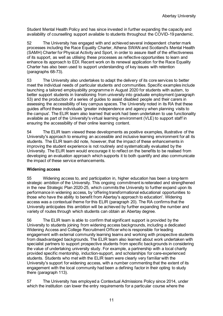Student Mental Health Policy and has since invested in further expanding the capacity and availability of counselling support available to students throughout the COVID-19 pandemic.

52 The University has engaged with and achieved several independent charter mark processes including the Race Equality Charter, Athena SWAN and Scotland's Mental Health (SAMH) Charter for Physical Activity and Sport, in order to assure itself of the effectiveness of its support, as well as utilising these processes as reflective opportunities to learn and enhance its approach to EDI. Recent work on its renewal application for the Race Equality Charter has also been used to support understanding of key issues with retention (paragraphs 68-73).

53 The University also undertakes to adapt the delivery of its core services to better meet the individual needs of particular students and communities. Specific examples include launching a tailored employability programme in August 2020 for students with autism, to better support students in transitioning from university into graduate employment (paragraph 53) and the production of a series of guides to assist disabled people and their carers in assessing the accessibility of key campus spaces. The University noted in its RA that these guides afford these individuals 'greater independence and agency when planning visits to the campus'. The ELIR team also learned that work had been undertaken to use functionality available as part of the University's virtual learning environment (VLE) to support staff in ensuring the accessibility of their online learning content.

54 The ELIR team viewed these developments as positive examples, illustrative of the University's approach to ensuring an accessible and inclusive learning environment for all its students. The ELIR team did note, however, that the impact of these enhancements in improving the student experience is not routinely and systematically evaluated by the University. The ELIR team would encourage it to reflect on the benefits to be realised from developing an evaluation approach which supports it to both quantify and also communicate the impact of these service enhancements.

#### **Widening access**

55 Widening access to, and participation in, higher education has been a long-term strategic ambition of the University. This ongoing commitment is reiterated and strengthened in the new Strategic Plan 2020-25, which commits the University to further expand upon its performance in widening access, by 'offering transformational educational opportunities to those who have the ability to benefit from Abertay's approach to education'. Widening access was a contextual theme for this ELIR (paragraph 20). The RA confirms that the University anticipates this ambition will be achieved by further expanding the number and variety of routes through which students can obtain an Abertay degree.

56 The ELIR team is able to confirm that significant support is provided by the University to students joining from widening access backgrounds, including a dedicated Widening Access and College Recruitment Officer who is responsible for leading engagement with external community learning teams and working with prospective students from disadvantaged backgrounds. The ELIR team also learned about work undertaken with specialist partners to support prospective students from specific backgrounds in considering the value of undertaking university study. For example, a partnership with a local charity provided specific mentorship, induction-support, and scholarships for care-experienced students. Students who met with the ELIR team were clearly very familiar with the University's support for widening access, with a number commenting that the extent of its engagement with the local community had been a defining factor in their opting to study there (paragraph 113).

57 The University has employed a Contextual Admissions Policy since 2014, under which the institution can lower the entry requirements for a particular course where the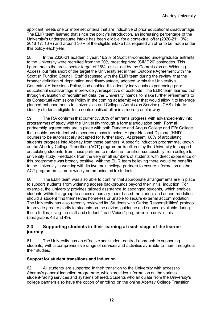applicant meets one or more set criteria that are indicative of prior educational disadvantage. The ELIR team learned that since the policy's introduction, an increasing percentage of the University's undergraduate intake has been eligible for a contextual offer (2020-21: 19%; 2016-17: 16%) and around 30% of the eligible intake has required an offer to be made under this policy each year.

58 In the 2020-21 academic year, 16.2% of Scottish-domiciled undergraduate entrants to the University were recruited from the 20% most deprived (SIMD20) postcodes. This figure meets the cross-sector target of 16%, as set out by the Commission on Widening Access, but falls short of the target the University set in their Outcome Agreement with the Scottish Funding Council. Staff discussed with the ELIR team during the review, that the broader definition of deprivation and disadvantage, adopted within the University's Contextual Admissions Policy, had enabled it to identify individuals experiencing prior educational disadvantage more widely, irrespective of postcode. The ELIR team learned that through evaluation of recruitment data, the University intends to make further refinements to its Contextual Admissions Policy in the coming academic year that would allow it to leverage planned enhancements to Universities and Colleges Admission Service (UCAS) data to identify students eligible for a contextualised offer in a more granular way.

59 The RA confirms that currently, 30% of entrants progress with advanced entry into programmes of study with the University through a formal articulation path. Formal partnership agreements are in place with both Dundee and Angus College and Fife College that enable any student who secures a pass in select Higher National Diploma (HND) courses to be automatically accepted for further study. At present, 60% of articulating students progress into Abertay from these partners. A specific induction programme, known as the Abertay College Transition (ACT) programme is offered by the University to support articulating students from these partners to make the transition successfully from college to university study. Feedback from the very small numbers of students with direct experience of this programme was broadly positive, with the ELIR team believing there would be benefits to the University in working with its two main college partners to ensure information on the ACT programme is more widely communicated to students.

60 The ELIR team was also able to confirm that appropriate arrangements are in place to support students from widening access backgrounds beyond their initial induction. For example, the University provides tailored assistance to estranged students, which enables students within this group to access a bursary, peer-based mentoring, and accommodation should a student find themselves homeless or unable to secure external accommodation. The University has also recently reviewed its 'Students with Caring Responsibilities' protocol to provide greater clarity to students on the advice, guidance and support available during their studies, using the staff and student 'Lead Voices' programme to deliver this (paragraphs 48 and 49).

#### **2.3 Supporting students in their learning at each stage of the learner journey**

61 The University has an effective and student-centred approach to supporting students, with a comprehensive range of services and activities available to them throughout their studies.

#### **Support for student transitions and induction**

62 All students are supported in their transition to the University with access to Abertay's general induction programme, which provides information on the various student-facing services and systems offered. Students who articulate from the University's college partners also have the option of enrolling on the online Abertay College Transition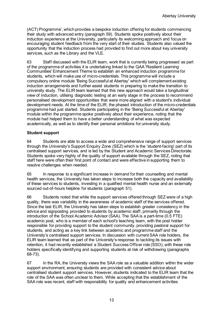(ACT) Programme', which provides a bespoke induction offering for students commencing their study with advanced entry (paragraph 59). Students spoke positively about their induction experience at the University, particularly its welcoming approach and focus on encouraging student feedback from the very start of their studies. Students also valued the opportunity that the induction process had provided to find out more about key university services, such as the Library and the VLE.

63 Staff discussed with the ELIR team, work that is currently being progressed as part of the programme of activities it is undertaking linked to the QAA 'Resilient Learning Communities' Enhancement Theme to establish an enhanced induction programme for students, which will make use of micro-credentials. This programme will include a compulsory online module 'Being Successful at Abertay' which will complement existing induction arrangements and further assist students in preparing to make the transition to university study. The ELIR team learned that this new approach would take a longitudinal view of induction, utilising diagnostic testing at an early stage in the process to recommend personalised development opportunities that were more aligned with a student's individual development needs. At the time of the ELIR, the phased introduction of the micro-credentials programme had just started. Students participating in the 'Being Successful at Abertay' module within the programme spoke positively about their experience, noting that the module had helped them to have a better understanding of what was expected academically, as well as to identify their personal ambitions for university study.

#### **Student support**

64 Students are able to access a wide and comprehensive range of support services through the University's Support Enquiry Zone (SEZ) which is the 'student-facing' part of its centralised support services, and is led by the Student and Academic Services Directorate. Students spoke very highly of the quality of support available through the SEZ, noting that staff here were often their first point of contact and were effective in supporting them to resolve challenges when needed.

65 In response to a significant increase in demand for their counselling and mental health services, the University has taken steps to increase both the capacity and availability of these services to students, investing in a qualified mental health nurse and an externally sourced out-of-hours helpline for students (paragraph 51).

66 Students noted that while the support services offered through SEZ were of a high quality, there was variability in the awareness of academic staff of the services offered. Since the last ELIR, the University has taken steps to establish greater consistency in the advice and signposting provided to students by academic staff, primarily through the introduction of the School Academic Advisor (SAA). The SAA is a part-time (0.5 FTE) academic post, who is a member of each school's teaching team, with the post holder responsible for providing support to the student community, providing pastoral support for students, and acting as a key link between academic and programme staff and the University's centralised support services. In discussion with current SAA role holders, the ELIR team learned that as part of the University's response to tackling its issues with retention, it had recently established a Student Success Officer role (SSO), with these role holders specifically identifying and supporting students at risk of withdrawing (paragraphs 68-73).

67 In the RA, the University views the SAA role as a valuable addition within the wider support environment, ensuring students are provided with consistent advice about centralised student support services. However, students indicated to the ELIR team that the role of the SAA was often unclear to them. While accepting that the establishment of the SAA role was recent, staff with responsibility for quality and enhancement activities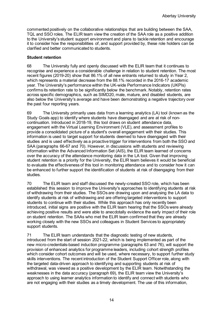commented positively on the collaborative relationships that are building between the SAA, TQL and SSO roles. The ELIR team view the creation of the SAA role as a positive addition to the University's student support environment and plans to tackle retention and encourage it to consider how the responsibilities of, and support provided by, these role holders can be clarified and better communicated to students.

#### **Student retention**

68 The University fully and openly discussed with the ELIR team that it continues to recognise and experience a considerable challenge in relation to student retention. The most recent figures (2019-20) show that 86.1% of all new entrants returned to study in Year 2, which represents a material decrease from the 88.1% recorded in the 2016-17 academic year. The University's performance within the UK-wide Performance Indicators (UKPIs) confirms its retention rate to be significantly below the benchmark. Notably, retention rates across specific demographics, such as SIMD20, male, mature, and disabled students, are also below the University's average and have been demonstrating a negative trajectory over the past four reporting years.

69 The University primarily uses data from a learning analytics (LA) tool (known as the Study Goals app) to identify where students have disengaged and are at risk of noncontinuation. Introduced in 2018-19, this tool draws on student attendance data, engagement with the Virtual Learning Environment (VLE), and assessment profiles to provide a consolidated picture of a student's overall engagement with their studies. This information is used to target support for students deemed to have disengaged with their studies and is used effectively as a proactive trigger for interventions from both the SSO and SAA (paragraphs 66-67 and 70). However, in discussions with students and reviewing information within the Advanced Information Set (AIS), the ELIR team learned of concerns over the accuracy of the attendance monitoring data in the LA tool. Given that improving student retention is a priority for the University, the ELIR team believes it would be beneficial to evaluate the effectiveness of this tool in monitoring attendance and to consider how it can be enhanced to further support the identification of students at risk of disengaging from their studies.

70 The ELIR team and staff discussed the newly-created SSO role, which has been established this session to improve the University's approaches to identifying students at risk of withdrawing from their studies. The SSOs are drawing upon and analysing the LA data to identify students at risk of withdrawing and are offering targeted interventions to support students to continue with their studies. While this approach has only recently been introduced, initial signs are positive with the ELIR team hearing that the SSOs were already achieving positive results and were able to anecdotally evidence the early impact of their role on student retention. The SAAs who met the ELIR team confirmed that they are already working closely with the new SSOs and colleagues in Student Services to appropriately support students.

71 The ELIR team understands that the diagnostic testing of new students, introduced from the start of session 2021-22, which is being implemented as part of the new micro-credentials-based induction programme (paragraphs 63 and 76), will support the provision of enhanced analytics for programme leaders, including cohort strength profiles which consider cohort outcomes and will be used, where necessary, to support further study skills interventions. The recent introduction of the Student Support Officer role, along with the targeted data-driven approach to identifying and supporting students at risk of withdrawal, was viewed as a positive development by the ELIR team. Notwithstanding the weaknesses in the data accuracy (paragraph 69), the ELIR team view the University's approach to using learner analytics information to identify and connect with students who are not engaging with their studies as a timely development. The use of this information,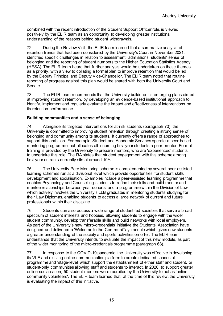combined with the recent introduction of the Student Support Officer role, is viewed positively by the ELIR team as an opportunity to developing greater institutional understanding of the reasons behind student withdrawals.

72 During the Review Visit, the ELIR team learned that a summative analysis of retention trends that had been considered by the University's Court in November 2021, identified specific challenges in relation to assessment, admissions, students' sense of belonging and the reporting of student numbers to the Higher Education Statistics Agency (HESA). The ELIR team heard that further analysis would be undertaken on these themes as a priority, with a view to collating a formal plan to improve retention that would be led by the Deputy Principal and Deputy Vice-Chancellor. The ELIR team noted that routine reporting of progress against this plan would be shared with both the University Court and Senate.

73 The ELIR team recommends that the University builds on its emerging plans aimed at improving student retention, by developing an evidence-based institutional approach to identify, implement and regularly evaluate the impact and effectiveness of interventions on its retention performance.

#### **Building communities and a sense of belonging**

74 Alongside its targeted interventions for at-risk students (paragraph 70), the University is committed to improving student retention through creating a strong sense of belonging and community among its students. It currently offers a range of approaches to support this ambition. For example, Student and Academic Services operate a peer-based mentoring programme that allocates all incoming first-year students a peer mentor. Formal training is provided by the University to prepare mentors, who are 'experienced' students, to undertake this role. The RA states that student engagement with this scheme among first-year entrants currently sits at around 10%.

75 The University Peer Mentoring scheme is complemented by several peer-assisted learning schemes run at a divisional level which provide opportunities for student skills development and socialisation. Examples include a peer-assisted learning programme that enables Psychology and Counselling students to refine their skills and build mentor and mentee relationships between year cohorts, and a programme within the Division of Law which actively involves the University's LLB graduates in mentoring students studying for their Law Diplomas, enabling students to access a large network of current and future professionals within their discipline.

76 Students can also access a wide range of student-led societies that serve a broad spectrum of student interests and hobbies, allowing students to engage with the wider student community, develop transferable skills and build networks with local employers. As part of the University's new micro-credentials' initiative the Students' Association have designed and delivered a 'Welcome to the CommuniTay' module which gives new students a greater understanding of the society and sports activities on offer. The ELIR team understands that the University intends to evaluate the impact of this new module, as part of the wider monitoring of the micro-credentials programme (paragraph 63).

77 In response to the COVID-19 pandemic, the University was effective in developing its VLE and existing online communication platform to create dedicated spaces at programme and 'stage-level' which support the establishment of either staff and student, or student-only communities allowing staff and students to interact. In 2020, to support greater online socialisation, 50 student mentors were recruited by the University to act as 'online community volunteers'. The ELIR team learned that, at the time of this review, the University is evaluating the impact of this initiative.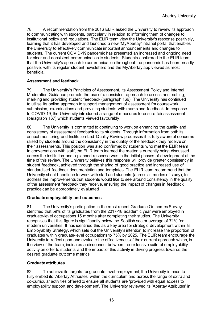78 A recommendation from the 2016 ELIR asked the University to review its approach to communicating with students, particularly in relation to informing them of changes to institutional policy and regulations. The ELIR team view the University's response positively, learning that it has developed and launched a new 'MyAbertay' intranet portal that enables the University to effectively communicate important announcements and changes to students. The current COVID-19 pandemic has presented an increased and ongoing need for clear and consistent communication to students. Students confirmed to the ELIR team, that the University's approach to communication throughout the pandemic has been broadly positive, with its regular student newsletters and the MyAbertay app viewed as most beneficial.

#### **Assessment and feedback**

79 The University's Principles of Assessment, its Assessment Policy and Internal Moderation Guidance promote the use of a consistent approach to assessment setting, marking and providing student feedback (paragraph 166). The University has continued to utilise its online approach to support management of assessment for coursework submission, examinations and providing students with marks and feedback. In response to COVID-19, the University introduced a range of measures to ensure fair assessment (paragraph 167) which students viewed favourably.

80 The University is committed to continuing to work on enhancing the quality and consistency of assessment feedback to its students. Through information from both its annual monitoring and Institution-Led Quality Review processes it is fully aware of concerns raised by students around the consistency in the quality of the feedback they receive on their assessments. This position was also confirmed by students who met the ELIR team. In conversations with staff, the ELIR team learned the matter is currently being discussed across the institution and a planned response was in the initial phases of development at the time of this review. The University believes this response will provide greater consistency in student feedback, achieved through the sharing of good practice and increased use of standardised feedback documentation and templates. The ELIR team recommend that the University should continue to work with staff and students (across all modes of study), to address the improvements that students would like to see around consistency in the quality of the assessment feedback they receive, ensuring the impact of changes in feedback practice can be appropriately evaluated

#### **Graduate employability and outcomes**

81 The University's participation in the most recent Graduate Outcomes Survey identified that 59% of its graduates from the 2017-18 academic year were employed in graduate-level occupations 15 months after completing their studies. The University recognises that this figure is significantly below the Scottish sector average of 71% for modern universities. It has identified this as a key area for strategic development within its Employability Strategy, which sets out the University's intention to increase the proportion of graduates within graduate-level occupations to 75% by 2025. The ELIR team encourage the University to reflect upon and evaluate the effectiveness of their current approach which, in the view of the team, indicates a disconnect between the extensive suite of employability activity on offer to students and the impact of this activity in driving progress towards the desired graduate outcome metrics.

#### **Graduate attributes**

82 To achieve its targets for graduate-level employment, the University intends to fully embed its 'Abertay Attributes' within the curriculum and across the range of extra and co-curricular activities offered to ensure all students are 'provided with equal access to employability support and development'. The University reviewed its 'Abertay Attributes' in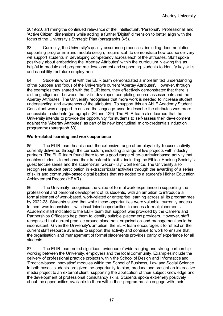2019-20, affirming the continued relevance of the 'Intellectual', 'Personal', 'Professional' and 'Active Citizen' dimensions while adding a further 'Digital' dimension to better align with the focus of the University's Strategic Plan (paragraphs 3-5).

83 Currently, the University's quality assurance processes, including documentation supporting programme and module design, require staff to demonstrate how course delivery will support students in developing competency across each of the attributes. Staff spoke positively about embedding the 'Abertay Attributes' within the curriculum, viewing this as helpful in module and programme development and supporting students to identify key skills and capability for future employment.

84 Students who met with the ELIR team demonstrated a more limited understanding of the purpose and focus of the University's current 'Abertay Attributes'. However, through the examples they shared with the ELIR team, they effectively demonstrated that there is a strong alignment between the skills developed completing course assessments and the Abertay Attributes. The University recognises that more work is needed to increase student understanding and awareness of the attributes. To support this an AbLE Academy Student Consultant was engaged to ensure the language used to describe the attributes was more accessible to students (paragraphs 36 and 129). The ELIR team also learned that the University intends to provide the opportunity for students to self-assess their development against the 'Abertay Attributes' as part of its new longitudinal micro-credentials induction programme (paragraph 63).

#### **Work-related learning and work experience**

85 The ELIR team heard about the extensive range of employability-focused activity currently delivered through the curriculum, including a range of live projects with industry partners. The ELIR team found there to be a good range of co-curricular based activity that enables students to enhance their transferable skills, including the Ethical Hacking Society's guest lecture series and the student-run 'Securi-Tay' Conference. The University also recognises student participation in extracurricular activities through the awarding of a series of skills and community-based digital badges that are added to a student's Higher Education Achievement Record (HEAR).

86 The University recognises the value of formal work experience in supporting the professional and personal development of its students, with an ambition to introduce a formal element of work-based, work-related or enterprise learning across all its programmes by 2022-23. Students stated that while these opportunities were valuable, currently access to them was inconsistent, with insufficient opportunities to access formal placements. Academic staff indicated to the ELIR team that support was provided by the Careers and Partnerships Offices to help them to identify suitable placement providers. However, staff recognised that current practice around placement organisation and management could be inconsistent. Given the University's ambition, the ELIR team encourages it to reflect on the current staff resource available to support this activity and continue to work to ensure that the organisation and management of formal placements provides parity of experience for all students.

87 The ELIR team noted significant evidence of wide-ranging and strong partnership working between the University, employers and the local community. Examples include the delivery of professional practice projects within the School of Design and Informatics and 'Practice-based Innovation' modules within the School of Business, Law and Social Science. In both cases, students are given the opportunity to plan, produce and present an interactive media project to an external client, supporting the application of their subject knowledge and the development of professional consultancy skills. Students spoke extremely positively about the opportunities available to them within their programmes to engage with their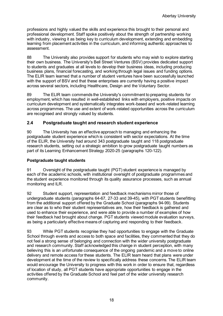professions and highly valued the skills and experience this brought to their personal and professional development. Staff spoke positively about the strength of partnership working with industry, viewing it as being key to curriculum development, extending and embedding learning from placement activities in the curriculum, and informing authentic approaches to assessment.

88 The University also provides support for students who may wish to explore starting their own business. The University's Bell Street Ventures (BSV) provides dedicated support to students and graduates at all levels to develop their business ideas, including producing business plans, financial forecasting, and working through legal issues and funding options. The ELIR team learned that a number of student ventures have been successfully launched with the support of BSV and that these enterprises are currently having a positive impact across several sectors, including Healthcare, Design and the Voluntary Sector.

89 The ELIR team commends the University's commitment to preparing students for employment, which has resulted in well-established links with employers, positive impacts on curriculum development and systematically integrates work-based and work-related learning across programmes. The use and extent of work-related opportunities across the curriculum are recognised and strongly valued by students.

# **2.4 Postgraduate taught and research student experience**

90 The University has an effective approach to managing and enhancing the postgraduate student experience which is consistent with sector expectations. At the time of the ELIR, the University had around 343 postgraduate taught and 118 postgraduate research students, setting out a strategic ambition to grow postgraduate taught numbers as part of its Learning Enhancement Strategy 2020-25 (paragraphs 120-122).

#### **Postgraduate taught students**

91 Oversight of the postgraduate taught (PGT) student experience is managed by each of the academic schools, with institutional oversight of postgraduate programmes and the student experience monitored through its quality assurance processes, such as annual monitoring and ILR.

92 Student support, representation and feedback mechanisms mirror those of undergraduate students (paragraphs 64-67, 27-33 and 39-45), with PGT students benefitting from the additional support offered by the Graduate School (paragraphs 94-99). Students are clear as to who their student representatives are, how their feedback is gathered and used to enhance their experience, and were able to provide a number of examples of how their feedback had brought about change. PGT students viewed module evaluation surveys, as being a particularly effective means of capturing and responding to their feedback.

93 While PGT students recognise they had opportunities to engage with the Graduate School through events and access to both space and facilities, they commented that they do not feel a strong sense of belonging and connection with the wider university postgraduate and research community. Staff acknowledged this change in student perception, with many believing this is an unfortunate consequence of the ongoing pandemic and a move to online delivery and remote access for these students. The ELIR team heard that plans were under development at the time of the review to specifically address these concerns. The ELIR team would encourage the University to progress with this work in order to ensure that, regardless of location of study, all PGT students have appropriate opportunities to engage in the activities offered by the Graduate School and feel part of the wider university research community.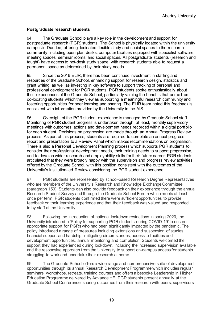#### **Postgraduate research students**

94 The Graduate School plays a key role in the development and support for postgraduate research (PGR) students. The School is physically located within the university campus in Dundee, offering dedicated flexible study and social spaces to the research community, including open plan desks, computer facilities equipped with specialist software, meeting spaces, seminar rooms, and social spaces. All postgraduate students (research and taught) have access to hot-desk study space, with research students able to request a permanent space as determined by their study needs.

95 Since the 2016 ELIR, there has been continued investment in staffing and resources of the Graduate School, enhancing support for research design, statistics and grant writing, as well as investing in key software to support tracking of personal and professional development for PGR students. PGR students spoke enthusiastically about their experiences of the Graduate School, particularly valuing the benefits that come from co-locating students which they view as supporting a meaningful research community and fostering opportunities for peer learning and sharing. The ELIR team noted this feedback is consistent with information provided by the University in the AIS.

96 Oversight of the PGR student experience is managed by Graduate School staff. Monitoring of PGR student progress is undertaken through, at least, monthly supervisory meetings with outcomes, actions and development needs recorded within a digital portfolio for each student. Decisions on progression are made through an Annual Progress Review process. As part of this process, students are required to complete an annual progress report and presentation to a Review Panel which makes recommendations on progression. There is also a Personal Development Planning process which supports PGR students to consider their professional development needs, their training needs to support progression, and to develop wider research and employability skills for their future career. PGR students articulated that they were broadly happy with the supervision and progress review activities offered by the Graduate School, with this position consistent with the outcomes of the University's Institution-led Review considering the PGR student experience.

97 PGR students are represented by school-based Research Degree Representatives who are members of the University's Research and Knowledge Exchange Committee (paragraph 159). Students can also provide feedback on their experience through the annual Research Student Survey and through the Graduate School Forum which meets at least once per term. PGR students confirmed there were sufficient opportunities to provide feedback on their learning experience and that their feedback was valued and responded to by staff at the University.

98 Following the introduction of national lockdown restrictions in spring 2020, the University introduced a 'Policy for supporting PGR students during COVID-19' to ensure appropriate support for PGRs who had been significantly impacted by the pandemic. The policy introduced a range of measures including extensions and suspension of studies, financial support and hardship, mitigating circumstances, access to facilities and development opportunities, annual monitoring and completion. Students welcomed the support they had experienced during lockdown, including the increased supervision available and the responsive approach from the University to support on-campus access for students struggling to work and undertake their research at home.

99 The Graduate School offers a wide range and comprehensive suite of development opportunities through its annual Research Development Programme which includes regular seminars, workshops, retreats, training courses and offers a bespoke Leadership in Higher Education Programme delivered by Advance HE. PGR students present annually at the Graduate School Conference, sharing outcomes from their research with peers, supervisors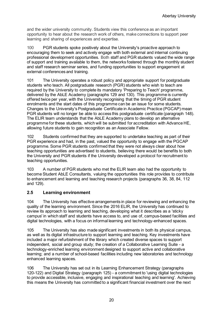and the wider university community. Students view this conference as an important opportunity to hear about the research work of others, make connections to support peer learning and sharing of experiences and expertise.

100 PGR students spoke positively about the University's proactive approach to encouraging them to seek and actively engage with both external and internal continuing professional development opportunities. Both staff and PGR students valued the wide range of support and training available to them, the networks fostered through the monthly student and staff research seminar series, and funding opportunities to support engagement at external conferences and training.

101 The University operates a robust policy and appropriate support for postgraduate students who teach. All postgraduate research (PGR) students who wish to teach are required by the University to complete its mandatory 'Preparing to Teach' programme, delivered by the AbLE Academy (paragraphs 129 and 130). This programme is currently offered twice per year, with the University recognising that the timing of PGR student enrolments and the start dates of this programme can be an issue for some students. Changes to the University's Postgraduate Certificate in Academic Practice (PGCAP) mean PGR students will no longer be able to access this postgraduate certificate (paragraph 148). The ELIR team understands that the AbLE Academy plans to develop an alternative programme for these students, which will be submitted for accreditation with Advance HE, allowing future students to gain recognition as an Associate Fellow.

102 Students confirmed that they are supported to undertake teaching as part of their PGR experience and had, in the past, valued the opportunity to engage with the PGCAP programme. Some PGR students confirmed that they were not always clear about how teaching opportunities are advertised to students, believing there would be benefits to both the University and PGR students if the University developed a protocol for recruitment to teaching opportunities.

103 A number of PGR students who met the ELIR team also had the opportunity to become Student AbLE Consultants, valuing the opportunities this role provides to contribute to enhancement and learning and teaching research projects (paragraphs 36, 38, 84, 112 and 129).

# **2.5 Learning environment**

104 The University has effective arrangements in place for reviewing and enhancing the quality of the learning environment. Since the 2016 ELIR, the University has continued to review its approach to learning and teaching, developing what it describes as a 'sticky campus' in which staff and students have access to, and use of, campus-based facilities and digital technologies, with a focus on informal learning and technology-enhanced spaces.

105 The University has also made significant investments in both its physical campus, as well as its digital infrastructure to support learning and teaching. Key investments have included a major refurbishment of the library which created diverse spaces to support independent, social and group study; the creation of a Collaborative Learning Suite - a technology-enriched learning environment designed to support active and collaborative learning; and a number of school-based facilities including new laboratories and technology enhanced learning spaces.

106 The University has set out in its Learning Enhancement Strategy (paragraphs 120-122) and Digital Strategy (paragraph 125) - a commitment to 'using digital technologies to provide accessible, inclusive, engaging and inspirational teaching and learning'. Achieving this means the University has committed to a significant financial investment over the next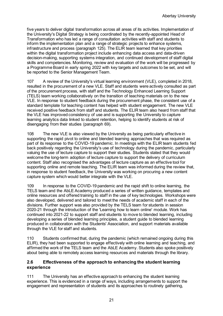five years to deliver digital transformation across all areas of its activities. Implementation of the University's Digital Strategy is being coordinated by the recently-appointed Head of Transformation who has led a range of consultation activities with staff and students to inform the implementation plan and a range of strategic projects to enhance systems, infrastructure and process (paragraph 125). The ELIR team learned that key priorities within the digital transformation project include enhancing data access and data-driven decision-making, supporting systems integration, and continued development of staff digital skills and competencies. Monitoring, review and evaluation of the work will be progressed by a Programme Board in early spring 2022 with key targets and outcomes to be set, and will be reported to the Senior Management Team.

107 A review of the University's virtual learning environment (VLE), completed in 2018, resulted in the procurement of a new VLE. Staff and students were actively consulted as part of the procurement process, with staff and the Technology Enhanced Learning Support (TELS) team working collaboratively on the transition of teaching materials on to the new VLE. In response to student feedback during the procurement phase, the consistent use of a standard template for teaching content has helped with student engagement. The new VLE received positive feedback from staff and students. The ELIR team also heard from staff that the VLE has improved consistency of use and is supporting the University to capture learning analytics data linked to student retention, helping to identify students at risk of disengaging from their studies (paragraph 69).

108 The new VLE is also viewed by the University as being particularly effective in supporting the rapid pivot to online and blended learning approaches that was required as part of its response to the COVID-19 pandemic. In meetings with the ELIR team students fed back positively regarding the University's use of technology during the pandemic, particularly valuing the use of lecture capture to support their studies. Students stated that they would welcome the long-term adoption of lecture capture to support the delivery of curriculum content. Staff also recognised the advantages of lecture capture as an effective tool for supporting online and remote teaching. The ELIR team was informed during the review that, in response to student feedback, the University was working on procuring a new content capture system which would better integrate with the VLE.

109 In response to the COVID-19 pandemic and the rapid shift to online learning, the TELS team and the AbLE Academy produced a series of written guidance, templates and online resources and offered training to staff in the use of key technologies. Workshops were also developed, delivered and tailored to meet the needs of academic staff in each of the divisions. Further support was also provided by the TELS team for students in session 2020-21 through the introduction of the 'Learning how to learn online' module. Work has continued into 2021-22 to support staff and students to move to blended learning, including developing a series of blended learning principles, a student guide to blended learning produced in collaboration with the Students' Association, and support materials available through the VLE for staff and students.

110 Students confirmed that, during the pandemic (which remained ongoing during this ELIR), they had been supported to engage effectively with online learning and teaching, and affirmed the work of the TELS team and the AbLE Academy. Students also spoke positively about being able to remotely access learning resources and materials through the library.

#### **2.6 Effectiveness of the approach to enhancing the student learning experience**

111 The University has an effective approach to enhancing the student learning experience. This is evidenced in a range of ways, including arrangements to support the engagement and representation of students and its approaches to routinely gathering,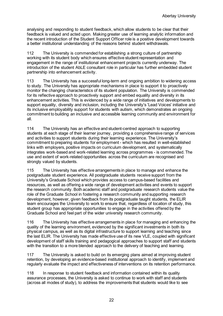analysing and responding to student feedback, which allow students to be clear that their feedback is valued and acted upon. Making greater use of learning analytic information and the recent introduction of the Student Support Officer role is a positive development towards a better institutional understanding of the reasons behind student withdrawals.

112 The University is commended for establishing a strong culture of partnership working with its student body which ensures effective student representation and engagement in the range of institutional enhancement projects currently underway. The introduction of the student AbLE consultant role in particular has further embedded student partnership into enhancement activity.

113 The University has a successful long-term and ongoing ambition to widening access to study. The University has appropriate mechanisms in place to support it to proactively monitor the changing characteristics of its student population. The University is commended for its reflective approach to proactively support and embed equality and diversity in its enhancement activities. This is evidenced by a wide range of initiatives and developments to support equality, diversity and inclusion, including the University's 'Lead Voices' initiative and its inclusive employability support for students with autism, which demonstrates an ongoing commitment to building an inclusive and accessible learning community and environment for all.

114 The University has an effective and student-centred approach to supporting students at each stage of their learner journey, providing a comprehensive range of services and activities to support students during their learning experience. The University's commitment to preparing students for employment - which has resulted in well-established links with employers, positive impacts on curriculum development, and systematically integrates work-based and work-related learning across programmes - is commended. The use and extent of work-related opportunities across the curriculum are recognised and strongly valued by students.

115 The University has effective arrangements in place to manage and enhance the postgraduate student experience. All postgraduate students receive support from the University's Graduate School which provides access to campus-based facilities and resources, as well as offering a wide range of development activities and events to support the research community. Both academic staff and postgraduate research students value the role of the Graduate School in fostering a research community and supporting research development, however, given feedback from its postgraduate taught students, the ELIR team encourages the University to work to ensure that, regardless of location of study, this student group has appropriate opportunities to engage in the activities offered by the Graduate School and feel part of the wider university research community.

116 The University has effective arrangements in place for managing and enhancing the quality of the learning environment, evidenced by the significant investments in both its physical campus, as well as its digital infrastructure to support learning and teaching since the last ELIR. The University has made effective use of its new VLE, coupled with significant development of staff skills training and pedagogical approaches to support staff and students with the transition to a more blended approach to the delivery of teaching and learning.

117 The University is asked to build on its emerging plans aimed at improving student retention, by developing an evidence-based institutional approach to identify, implement and regularly evaluate the impact and effectiveness of interventions on its retention performance.

118 In response to student feedback and information contained within its quality assurance processes, the University is asked to continue to work with staff and students (across all modes of study), to address the improvements that students would like to see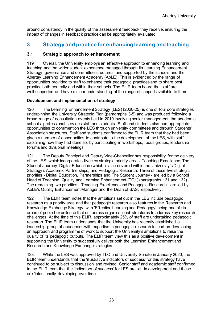around consistency in the quality of the assessment feedback they receive, ensuring the impact of changes in feedback practice can be appropriately evaluated.

# <span id="page-24-0"></span>**3 Strategy and practice for enhancing learning and teaching**

#### **3.1 Strategic approach to enhancement**

119 Overall, the University employs an effective approach to enhancing learning and teaching and the wider student experience managed through its Learning Enhancement Strategy, governance and committee structures, and supported by the schools and the Abertay Learning Enhancement Academy (AbLE). This is evidenced by the range of opportunities provided to staff to enhance their pedagogic practices and to share best practice both centrally and within their schools. The ELIR team heard that staff are well-supported and have a clear understanding of the range of support available to them.

#### **Development and implementation of strategy**

120 The Learning Enhancement Strategy (LES) (2020-25) is one of four core strategies underpinning the University Strategic Plan (paragraphs 3-5) and was produced following a broad range of consultation events held in 2019 involving senior management, the academic schools, professional services staff and students. Staff and students also had appropriate opportunities to comment on the LES through university committees and through Students' Association structures. Staff and students confirmed to the ELIR team that they had been given a number of opportunities to contribute to the development of the LES, with staff explaining how they had done so, by participating in workshops, focus groups, leadership forums and divisional meetings.

121 The Deputy Principal and Deputy Vice-Chancellor has responsibility for the delivery of the LES, which incorporates five key strategic priority areas: Teaching Excellence; The Student Journey; Digital Education (which is also covered within the University's Digital Strategy); Academic Partnerships; and Pedagogic Research. Three of these five strategic priorities - Digital Education, Partnerships and The Student Journey - are led by a School Head of Teaching, Quality and Learning Enhancement (TQL) (paragraphs 131 and 132). The remaining two priorities - Teaching Excellence and Pedagogic Research - are led by AbLE's Quality Enhancement Manager and the Dean of SAS, respectively.

122 The ELIR team notes that the ambitions set out in the LES include pedagogic research as a priority area and that pedagogic research also features in the Research and Knowledge Exchange Strategy, with 'Effective Learning and Pedagogy' being one of six areas of pooled excellence that cut across organisational structures to address key research challenges. At the time of this ELIR, approximately 25% of staff are undertaking pedagogic research. The ELIR team understands that the University has recently established a leadership group of academics with expertise in pedagogic research to lead on developing an approach and programme of work to support the University's ambitions to raise the quality of its pedagogic outputs. The ELIR team view this as a positive development in supporting the University to successfully deliver both the Learning Enhancement and Research and Knowledge Exchange strategies.

123 While the LES was approved by TLC and University Senate in January 2020, the ELIR team understands that the 'illustrative indicators of success' for this strategy have continued to be subject to discussion and revised. Senior staff and academic staff confirmed to the ELIR team that the 'indicators of success' for LES are still in development and these are 'intentionally developing over time'.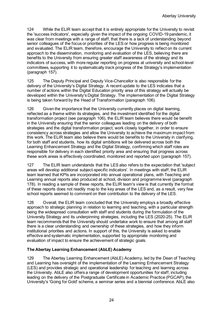124 While the ELIR team accept that it is entirely appropriate for the University to revisit the 'success indicators', especially given the impact of the ongoing COVID-19 pandemic, it was clear from meetings with a range of staff, that there is a lack of understanding beyond senior colleagues of the focus or priorities of the LES or how progress is being monitored and evaluated. The ELIR team, therefore, encourage the University to reflect on its current approach to the dissemination, monitoring and evaluation of the LES, believing there are benefits to the University from ensuring greater staff awareness of the strategy and its indicators of success, with more regular reporting on progress at university and school-level committees, supporting it to systematically track progress of the Strategy's implementation (paragraph 157).

125 The Deputy Principal and Deputy Vice-Chancellor is also responsible for the delivery of the University's Digital Strategy. A recent update to the LES indicates that a number of actions within the Digital Education priority area of this strategy will actually be developed within the University's Digital Strategy. The implementation of the Digital Strategy is being taken forward by the Head of Transformation (paragraph 106).

126 Given the importance that the University currently places on digital learning, reflected as a theme within its strategies, and the investment identified for the digital transformation project (see paragraph 106), the ELIR team believes there would be benefit in the University ensuring that the senior colleagues leading on the delivery of both strategies and the digital transformation project, work closely together, in order to ensure consistency across strategies and allow the University to achieve the maximum impact from this work. The ELIR team also believe there would be benefits to the University in clarifying, for both staff and students, how its digital ambitions will be delivered across both the Learning Enhancement Strategy and the Digital Strategy, confirming which staff roles are responsible for delivery in each identified priority area and ensuring that progress across these work areas is effectively coordinated, monitored and reported upon (paragraph 157).

127 The ELIR team understands that the LES also refers to the expectation that 'subject areas will develop additional subject-specific indicators'. In meetings with staff, the ELIR team learned that KPIs are incorporated into annual operational plans, with Teaching and Learning annual reports also produced at school, division and programme level (paragraph 178). In reading a sample of these reports, the ELIR team's view is that currently the format of these reports does not readily map to the key areas of the LES and, as a result, very few school reports seemed to comment on their contribution to the delivery of the LES.

128 Overall, the ELIR team concluded that the University employs a broadly effective approach to strategic planning in relation to learning and teaching, with a particular strength being the widespread consultation with staff and students during the formulation of the University Strategy and its underpinning strategies, including the LES (2020-25). The ELIR team recommends that the University should undertake work to ensure that among all staff there is a clear understanding and ownership of these strategies, and how they inform institutional priorities and actions. In support of this, the University is asked to enable effective and systematic implementation, supported by appropriate monitoring and evaluation of impact to ensure the achievement of strategic goals.

# **The Abertay Learning Enhancement (AbLE) Academy**

129 The Abertay Learning Enhancement (AbLE) Academy, led by the Dean of Teaching and Learning has oversight of the implementation of the Learning Enhancement Strategy (LES) and provides strategic and operational leadership for teaching and learning across the University. AbLE also offers a range of development opportunities for staff, including leading on the delivery of the Postgraduate Certificate in Academic Practice (PGCAP), the University's 'Going for Gold' scheme, a seminar series and a biennial conference. AbLE also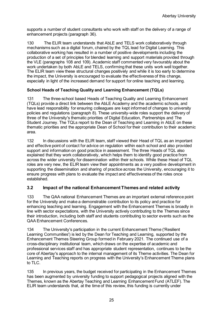supports a number of student consultants who work with staff on the delivery of a range of enhancement projects (paragraph 36).

130 The ELIR team understands that AbLE and TELS work collaboratively through mechanisms such as a digital forum, chaired by the TQL lead for Digital Learning. This collaborative working has resulted in a number of positive developments including the production of a set of principles for blended learning and support materials provided through the VLE (paragraphs 108 and 109). Academic staff commented very favourably about the work undertaken by both AbLE and TELS, confirming that these units work well together. The ELIR team view these structural changes positively and while it is too early to determine the impact, the University is encouraged to evaluate the effectiveness of this change, especially in light of the increased demand for support for online teaching and learning.

#### **School Heads of Teaching Quality and Learning Enhancement (TQLs)**

131 The three-school based Heads of Teaching Quality and Learning Enhancement (TQLs) provide a direct link between the AbLE Academy and the academic schools, and have lead responsibility for ensuring colleagues are kept informed of changes to university policies and regulations (paragraph 8). These university-wide roles support the delivery of three of the University's thematic priorities of Digital Education, Partnerships and The Student Journey. The TQLs report to the Dean of Teaching and Learning in AbLE on these thematic priorities and the appropriate Dean of School for their contribution to their academic area.

132 In discussions with the ELIR team, staff viewed their Head of TQL as an important and effective point of contact for advice on regulation within each school and also provided support and information on good practice in assessment. The three Heads of TQL also explained that they work collaboratively, which helps them to identify good practice from across the wider university for dissemination within their schools. While these Head of TQL roles are very new, the ELIR team view their appointments as a very positive development in supporting the dissemination and sharing of practice across the University, encouraging it to ensure progress with plans to evaluate the impact and effectiveness of the roles once established.

# **3.2 Impact of the national Enhancement Themes and related activity**

133 The QAA national Enhancement Themes are an important external reference point for the University and make a demonstrable contribution to its policy and practice for enhancing teaching and learning. Engagement with the Enhancement Themes is broadly in line with sector expectations, with the University actively contributing to the Themes since their introduction, including both staff and students contributing to sector events such as the QAA Enhancement Conferences.

134 The University's participation in the current Enhancement Theme ('Resilient Learning Communities') is led by the Dean for Teaching and Learning, supported by the Enhancement Themes Steering Group formed in February 2021. The continued use of a cross-disciplinary institutional team, which draws on the expertise of academic and professional services staff and has appropriate student representation, continues to be the core of Abertay's approach to the internal management of its Theme activities. The Dean for Learning and Teaching reports on progress with the University's Enhancement Theme plans to TLC.

135 In previous years, the budget received for participating in the Enhancement Themes has been augmented by university funding to support pedagogical projects aligned with the Themes, known as the Abertay Teaching and Learning Enhancement Fund (ATLEF). The ELIR team understands that, at the time of this review, this funding is currently under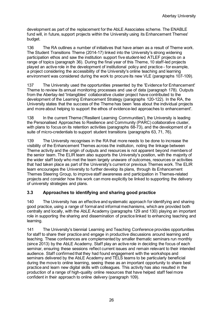development as part of the replacement for the AbLE Associates scheme. The ENABLE fund will, in future, support projects within the University using its Enhancement Themes' budget.

136 The RA outlines a number of initiatives that have arisen as a result of Theme work. The Student Transitions Theme (2014-17) linked into the University's strong widening participation ethos and saw the institution support five student-led ATLEF projects on a range of topics (paragraph 36). During the final year of this Theme, 10 staff-led projects played an active role in the development of institutional policy and practice - for example, a project considering the accessibility of the University's online teaching and learning environment was considered during the work to procure its new VLE (paragraphs 107-109).

137 The University used the opportunities presented by the 'Evidence for Enhancement' Theme to review its annual monitoring processes and use of data (paragraph 178). Outputs from the Abertay-led 'Intangibles' collaborative cluster project have contributed to the development of the Learning Enhancement Strategy (paragraphs 120-122). In the RA, the University states that the success of the Theme has been 'less about the individual projects and more about helping to support the ethos of evidence-led approaches to enhancement'.

138 In the current Theme ('Resilient Learning Communities'), the University is leading the Personalised Approaches to Resilience and Community (PARC) collaborative cluster, with plans to focus on its retention activities (paragraphs 68-73), and the development of a suite of micro-credentials to support student transitions (paragraphs 63, 71, 76).

139 The University recognises in the RA that more needs to be done to increase the visibility of the Enhancement Themes across the institution, noting the linkage between Theme activity and the origin of outputs and resources is not apparent beyond members of the senior team. The ELIR team also supports the University's position, with the majority of the wider staff body who met the team largely unaware of outcomes, resources or activities that had taken place as part of the University's current or previous Themes work. The ELIR team encourages the University to further develop its plans, through its Enhancement Themes Steering Group, to improve staff awareness and participation in Themes-related projects and consider how this work can more explicitly be linked to supporting the delivery of university strategies and plans.

# **3.3 Approaches to identifying and sharing good practice**

140 The University has an effective and systematic approach for identifying and sharing good practice, using a range of formal and informal mechanisms, which are provided both centrally and locally, with the AbLE Academy (paragraphs 129 and 130) playing an important role in supporting the sharing and dissemination of practice linked to enhancing teaching and learning.

141 The University's biennial Learning and Teaching Conference provides opportunities for staff to share their practice and engage in productive discussions around learning and teaching. These conferences are complemented by smaller thematic seminars run monthly (since 2013) by the AbLE Academy. Staff play an active role in deciding the focus of each seminar, ensuring these sessions reflect current issues and remain relevant to their intended audience. Staff confirmed that they had found engagement with the workshops and seminars delivered by the AbLE Academy and TELS teams to be particularly beneficial during the move to online learning, seeing these as an important opportunity to share best practice and learn new digital skills with colleagues. This activity has also resulted in the production of a range of high-quality online resources that have helped staff feel more confident in their approach to online delivery (paragraph 109).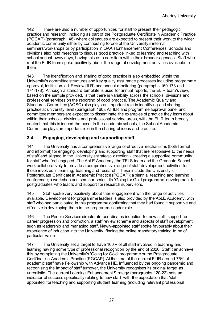142 There are also a number of opportunities for staff to present their pedagogic practice and research, including as part of the Postgraduate Certificate in Academic Practice (PGCAP) (paragraph 148) where colleagues are expected to present their work to the wider academic community either by contributing to one of the University's internal seminars/workshops or by participation in QAA's Enhancement Conferences. Schools and divisions also hold meetings to discuss good practice linked to learning and teaching with school annual away days, having this as a core item within their broader agendas. Staff who met the ELIR team spoke positively about the range of development activities available to them.

143 The identification and sharing of good practice is also embedded within the University's committee structures and key quality assurance processes including programme approval, Institution-led Review (ILR) and annual monitoring (paragraphs 169-173 and 174-178). Although a standard template is used for annual reports, the ELIR team's view, based on the sample provided, is that there is variability across the schools, divisions and professional services on the reporting of good practice. The Academic Quality and Standards Committee (AQSC) also plays an important role in identifying and sharing practice at university level (paragraph 160). All ILR and programme approval panel and committee members are expected to disseminate the examples of practice they learn about within their schools, divisions and professional service areas, with the ELIR team broadly content that this is indeed the case. In the academic schools, the School Academic Committee plays an important role in the sharing of ideas and practice.

# **3.4 Engaging, developing and supporting staff**

144 The University has a comprehensive range of effective mechanisms (both formal and informal) for engaging, developing and supporting staff that are responsive to the needs of staff and aligned to the University's strategic direction - creating a supportive community for staff who feel engaged. The AbLE Academy, the TELS team and the Graduate School work collaboratively to provide a comprehensive range of staff development activities for those involved in learning, teaching and research. These include the University's Postgraduate Certificate in Academic Practice (PGCAP); a biennial teaching and learning conference; a workshop and seminar series; its 'Going for Gold programme; development for postgraduates who teach; and support for research supervisors.

145 Staff spoke very positively about their engagement with the range of activities available. Development for programme leaders is also provided by the AbLE Academy, with staff who had participated in this programme confirming that they had found it supportive and effective in developing them in the programme leader role.

146 The People Services directorate coordinates induction for new staff, support for career progression and promotion, a staff review scheme and aspects of staff development such as leadership and managing staff. Newly-appointed staff spoke favourably about their experience of induction into the University, finding the online mandatory training to be of particular value.

147 The University set a target to have 100% of all staff involved in teaching and learning having some type of professional recognition by the end of 2020. Staff can achieve this by completing the University's 'Going for Gold' programme or the Postgraduate Certificate in Academic Practice (PGCAP). At the time of the current ELIR around 75% of academic staff have Fellowship with Advance HE. Influenced by the ongoing pandemic and recognising the impact of staff turnover, the University recognises its original target as unrealistic. The current Learning Enhancement Strategy (paragraphs 120-22) sets an indicator of success specifically relating to new staff, with the expectation that 'staff appointed for teaching and supporting student learning (including relevant professional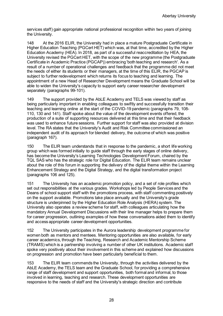services staff) gain appropriate national professional recognition within two years of joining the University.

148 At the 2016 ELIR, the University had in place a mature Postgraduate Certificate in Higher Education Teaching (PGCert HET) which was, at that time, accredited by the Higher Education Academy (HEA). In 2018, as part of a successful reaccreditation by HEA, the University revised the PGCert HET, with the scope of the new programme (the Postgraduate Certificate in Academic Practice (PGCAP)) embracing 'both teaching and research'. As a result of a number of operational challenges and feedback that the programme did not meet the needs of either its students or their managers, at the time of this ELIR, the PGCAP is subject to further redevelopment which returns its focus to teaching and learning. The appointment of a new Head of Researcher Development means the Graduate School will be able to widen the University's capacity to support early career researcher development separately (paragraphs 99-101).

149 The support provided by the AbLE Academy and TELS was viewed by staff as being particularly important in enabling colleagues to swiftly and successfully transition their teaching and learning online at the start of the COVID-19 pandemic (paragraphs 79, 108- 110, 130 and 141). Staff spoke about the value of the development events offered, the production of a suite of supporting resources delivered at this time and that their feedback was used to enhance future sessions. Further support for staff was also provided at division level. The RA states that the University's Audit and Risk Committee commissioned an independent audit of its approach for blended delivery, the outcome of which was positive (paragraph 167).

150 The ELIR team understands that in response to the pandemic, a short life working group which was formed initially to guide staff through the early stages of online delivery, has become the University's Learning Technologies Development Forum, chaired by the TQL SAS who has the strategic role for Digital Education. The ELIR team remains unclear about the role of this forum in supporting the delivery of the digital theme within the Learning Enhancement Strategy and the Digital Strategy, and the digital transformation project (paragraphs 106 and 125).

151 The University has an academic promotion policy, and a set of role profiles which set out responsibilities at the various grades. Workshops led by People Services and the Deans of school support staff with the promotions process, with staff commenting positively on the support available. Promotions take place annually and the University's grade structure is underpinned by the Higher Education Role Analysis (HERA) system. The University also operates a review scheme for staff, with colleagues articulating how the mandatory Annual Development Discussions with their line manager helps to prepare them for career progression, outlining examples of how these conversations aided them to identify and access appropriate career development opportunities.

152 The University participates in the Aurora leadership development programme for women both as mentors and mentees. Mentoring opportunities are also available, for early career academics, through the Teaching, Research and Academic Mentorship Scheme (TRAMS) which is a partnership involving a number of other UK institutions. Academic staff spoke very positively about their involvement in this scheme and explained how discussions on progression and promotion have been particularly beneficial to them.

153 The ELIR team commends the University, through the activities delivered by the AbLE Academy, the TELS team and the Graduate School, for providing a comprehensive range of staff development and support opportunities, both formal and informal, to those involved in learning, teaching and research. These development opportunities are responsive to the needs of staff and the University's strategic direction and contribute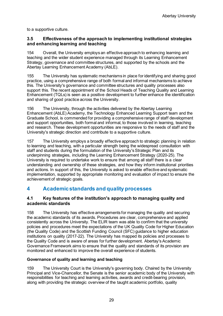to a supportive culture.

#### **3.5 Effectiveness of the approach to implementing institutional strategies and enhancing learning and teaching**

154 Overall, the University employs an effective approach to enhancing learning and teaching and the wider student experience managed through its Learning Enhancement Strategy, governance and committee structures, and supported by the schools and the Abertay Learning Enhancement Academy (AbLE).

155 The University has systematic mechanisms in place for identifying and sharing good practice, using a comprehensive range of both formal and informal mechanisms to achieve this. The University's governance and committee structures and quality processes also support this. The recent appointment of the School Heads of Teaching Quality and Learning Enhancement (TQLs) is seen as a positive development to further enhance the identification and sharing of good practice across the University.

156 The University, through the activities delivered by the Abertay Learning Enhancement (AbLE) Academy, the Technology Enhanced Learning Support team and the Graduate School, is commended for providing a comprehensive range of staff development and support opportunities, both formal and informal, to those involved in learning, teaching and research. These development opportunities are responsive to the needs of staff and the University's strategic direction and contribute to a supportive culture.

157 The University employs a broadly effective approach to strategic planning in relation to learning and teaching, with a particular strength being the widespread consultation with staff and students during the formulation of the University's Strategic Plan and its underpinning strategies, including the Learning Enhancement Strategy (2020-25). The University is required to undertake work to ensure that among all staff there is a clear understanding and ownership of these strategies, and how they inform institutional priorities and actions. In support of this, the University is asked to enable effective and systematic implementation, supported by appropriate monitoring and evaluation of impact to ensure the achievement of strategic goals.

# <span id="page-30-0"></span>**4 Academic standards and quality processes**

# **4.1 Key features of the institution's approach to managing quality and academic standards**

158 The University has effective arrangements for managing the quality and securing the academic standards of its awards. Procedures are clear, comprehensive and applied consistently across the University. The ELIR team was able to confirm that the university policies and procedures meet the expectations of the UK Quality Code for Higher Education (the Quality Code) and the Scottish Funding Council (SFC) guidance to higher education institutions on quality (2017-22). The University has mapped its policies and processes to the Quality Code and is aware of areas for further development. Abertay's Academic Governance Framework aims to ensure that the quality and standards of its provision are monitored and enhanced to improve the overall experience of students.

# **Governance of quality and learning and teaching**

159 The University Court is the University's governing body. Chaired by the University Principal and Vice-Chancellor, the Senate is the senior academic body of the University with responsibilities for teaching and learning activities, awards and credit-bearing provision, along with providing the strategic overview of the taught academic portfolio, quality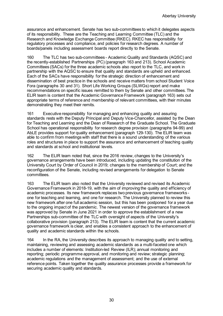assurance and enhancement. Senate has two sub-committees to which it delegates aspects of its responsibility. These are the Teaching and Learning Committee (TLC) and the Research and Knowledge Exchange Committee (RKEC). RKEC has responsibility for regulatory processes and compliance, and policies for research degrees. A number of boards/panels including assessment boards report directly to the Senate.

160 The TLC has two sub-committees - Academic Quality and Standards (AQSC) and the recently-established Partnerships (PC) (paragraph 163 and 213). School Academic Committees (SACs) for the three academic schools also report to the TLC, and work in partnership with the AQSC to ensure that quality and standards are upheld and enhanced. Each of the SACs have responsibility for the strategic direction of enhancement and dissemination of best practice in the schools and receive matters from school Student Voice Fora (paragraphs 30 and 31). Short Life Working Groups (SLWGs) report and make recommendations on specific issues remitted to them by Senate and other committees. The ELIR team is content that the Academic Governance Framework (paragraph 163) sets out appropriate terms of reference and membership of relevant committees, with their minutes demonstrating they meet their remits.

161 Executive responsibility for managing and enhancing quality and assuring standards rests with the Deputy Principal and Deputy Vice-Chancellor, assisted by the Dean for Teaching and Learning and the Dean of Research of the Graduate School. The Graduate School has operational responsibility for research degree provision (paragraphs 94-99) and AbLE provides support for quality enhancement (paragraph 129-130). The ELIR team was able to confirm from meetings with staff that there is a sound understanding of the various roles and structures in place to support the assurance and enhancement of teaching quality and standards at school and institutional levels.

162 The ELIR team noted that, since the 2016 review, changes to the University's governance arrangements have been introduced, including updating the constitution of the University Court by Order of Council in 2019; changes to the membership of Court; and the reconfiguration of the Senate, including revised arrangements for delegation to Senate committees.

163 The ELIR team also noted that the University reviewed and revised its Academic Governance Framework in 2018-19, with the aim of improving the quality and efficiency of academic processes. Its new framework replaces two previous governance frameworks one for teaching and learning, and one for research. The University planned to review this new framework after one full academic session, but this has been postponed for a year due to the ongoing impact of the pandemic. The newest version of the governance framework was approved by Senate in June 2021 in order to approve the establishment of a new Partnerships sub-committee of the TLC with oversight of aspects of the University's collaborative provision (paragraph 213). The ELIR team is content that the current academic governance framework is clear, and enables a consistent approach to the enhancement of quality and academic standards within the schools.

164 In the RA, the University describes its approach to managing quality and to setting, maintaining, reviewing and assessing academic standards as a multi-faceted one which includes a number of elements: Institution-led Review (ILR); annual monitoring and reporting; periodic programme approval, and monitoring and review; strategic planning; academic regulations and the management of assessment; and the use of external reference points. Taken together the quality assurance processes provide a framework for securing academic quality and standards.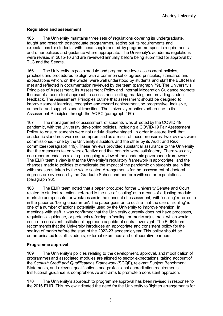Abertay University

#### **Regulation and assessment**

165 The University maintains three sets of regulations covering its undergraduate, taught and research postgraduate programmes, setting out its requirements and expectations for students, with these supplemented by programme-specific requirements and other policies and guidance where appropriate. The University's academic regulations were revised in 2015-16 and are reviewed annually before being submitted for approval by TLC and the Senate.

166 The University expects module and programme-level assessment policies, practices and procedures to align with a common set of agreed principles, standards and expectations which, on the whole, were well understood by students and staff the ELIR team met and reflected in documentation reviewed by the team (paragraph 79). The University's Principles of Assessment, its Assessment Policy and Internal Moderation Guidance promote the use of a consistent approach to assessment setting, marking and providing student feedback. The Assessment Principles outline that assessment should be designed to improve student learning, recognise and reward achievement, be progressive, inclusive, authentic and support student transition. The University monitors adherence to its Assessment Principles through the AQSC (paragraph 160).

167 The management of assessment of students was affected by the COVID-19 pandemic, with the University developing policies, including a COVID-19 Fair Assessment Policy, to ensure students were not unduly disadvantaged. In order to assure itself that academic standards were not compromised as a result of these measures, two reviews were commissioned - one by the University's auditors and the other by its Audit and Risk committee (paragraph 149). These reviews provided substantial assurance to the University that the measures taken were effective and that controls were satisfactory. There was only one recommendation relating to ongoing review of the academic governance framework. The ELIR team's view is that the University's regulatory framework is appropriate, and the changes made to policies to ameliorate the impact of the pandemic on students are in line with measures taken by the wider sector. Arrangements for the assessment of doctoral degrees are overseen by the Graduate School and conform with sector expectations (paragraph 96).

168 The ELIR team noted that a paper produced for the University Senate and Court related to student retention, referred to the use of 'scaling' as a means of adjusting module marks to compensate for weaknesses in the conduct of assessment, with 'scaling' referred to in the paper as 'being uncommon'. The paper goes on to outline that the use of 'scaling' is one of a number of actions potentially used by the University to improve retention. In meetings with staff, it was confirmed that the University currently does not have processes, regulations, guidance, or protocols referring to 'scaling' or marks adjustment which would ensure a consistent institutional approach capable of central oversight. The ELIR team recommends that the University introduces an appropriate and consistent policy for the scaling of marks before the start of the 2022-23 academic year. This policy should be communicated to staff, students, external examiners and collaborative partners.

#### **Programme approval**

169 The University's policies relating to the development, approval, and modification of programmes and associated modules are aligned to sector expectations, taking account of the *Scottish Credit and Qualifications Framework* (SCQF), relevant Subject Benchmark Statements, and relevant qualifications and professional accreditation requirements. Institutional guidance is comprehensive and aims to promote a consistent approach.

170 The University's approach to programme approval has been revised in response to the 2016 ELIR. This review indicated the need for the University to 'tighten arrangements for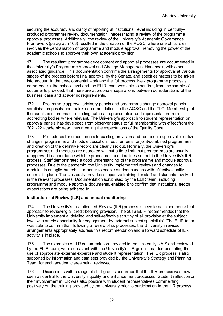securing the accuracy and clarity of reporting at institutional level including in centrallyproduced programme review documentation', necessitating a review of the programme approval processes. Additionally, the review of the University's Academic Governance Framework (paragraph 163) resulted in the creation of the AQSC, where one of its roles involves the centralisation of programme and module approval, removing the power of the academic schools to approve their own academic provision.

171 The resultant programme development and approval processes are documented in the University's Programme Approval and Change Management Handbook, with other associated guidance. This documentation confirms the arrangements for approval at various stages of the process before final approval by the Senate, and specifies matters to be taken into account in the developmental work and the full process. New programme proposals commence at the school level and the ELIR team was able to confirm, from the sample of documents provided, that there are appropriate separations between considerations of the business case and academic requirements.

172 Programme approval advisory panels and programme change approval panels scrutinise proposals and make recommendations to the AQSC and the TLC. Membership of the panels is appropriate, including external representation and representation from accrediting bodies where relevant. The University's approach to student representation on approval panels has developed from observer status to full membership with effect from the 2021-22 academic year, thus meeting the expectations of the Quality Code.

173 Procedures for amendments to existing provision and for module approval, elective changes, programme and module cessation, requirements for joint/combined programmes, and creation of the definitive record are clearly set out. Normally, the University's programmes and modules are approved without a time limit, but programmes are usually reapproved in accordance with the procedures and timelines set out in the University's ILR process. Staff demonstrated a good understanding of the programme and module approval processes. Due to the pandemic, the University implemented reviews and changes to modules in an agile but robust manner to enable student success with effective quality controls in place. The University provides supportive training for staff and students involved in the relevant processes. Documentation scrutinised by the ELIR team, including programme and module approval documents, enabled it to confirm that institutional sector expectations are being adhered to.

#### **Institution-led Review (ILR) and annual monitoring**

174 The University's Institution-led Review (ILR) process is a systematic and consistent approach to reviewing all credit-bearing provision. The 2016 ELIR recommended that the University implement a 'detailed and self-reflective scrutiny of all provision at the subject level with ample opportunity for engagement by external subject specialists'. The ELIR team was able to confirm that, following a review of its processes, the University's revised arrangements appropriately address this recommendation and a forward schedule of ILR activity is in place.

175 The examples of ILR documentation provided in the University's AIS and reviewed by the ELIR team, were consistent with the University's ILR guidelines, demonstrating the use of appropriate external expertise and student representation. The ILR process is also supported by information and data sets provided by the University's Strategy and Planning Team for each academic area being reviewed.

176 Discussions with a range of staff groups confirmed that the ILR process was now seen as central to the University's quality and enhancement processes. Student reflection on their involvement in ILR was also positive with student representatives commenting positively on the training provided by the University prior to participation in the ILR process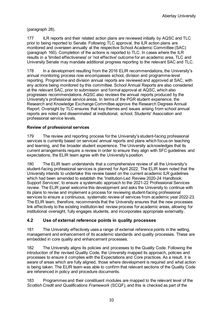(paragraph 28).

177 ILR reports and their related action plans are reviewed initially by AQSC and TLC prior to being reported to Senate. Following TLC approval, the ILR action plans are monitored and overseen annually at the respective School Academic Committee (SAC) (paragraph 160). Completion of the actions is reported to TLC. In cases where the ILR results in a 'limited effectiveness' or 'not effective' outcome for an academic area, TLC and University Senate may mandate additional progress reporting to the relevant SAC and TLC.

178 In a development resulting from the 2016 ELIR recommendations, the University's annual monitoring process now encompasses school, division and programme-level reporting. Programme and division annual reports are reviewed and approved at SAC, with any actions being monitored by this committee. School Annual Reports are also considered at the relevant SAC, prior to submission and formal approval at AQSC, which also progresses recommendations. AQSC also reviews the annual reports produced by the University's professional service areas. In terms of the PGR student experience, the Research and Knowledge Exchange Committee approve the Research Degrees Annual Report. Oversight by TLC ensures that key themes and issues arising from school annual reports are noted and disseminated at institutional, school, Students' Association and professional service levels.

#### **Review of professional services**

179 The review and reporting process for the University's student-facing professional services is currently based on services' annual reports and plans which focus on teaching and learning, and the broader student experience. The University acknowledges that its current arrangements require a review in order to ensure they align with SFC guidelines and expectations, the ELIR team agree with the University's position.

180 The ELIR team understands that a comprehensive review of all the University's student-facing professional services is planned for April 2022. The ELIR team noted that the University intends to undertake this review based on the current academic ILR guidelines which had been amended to establish the 'Institution-Led Review 2020-24 Handbook: Support Services', to ensure a systematic approach to the 2021-22 Professional Services review. The ELIR panel welcome this development and asks the University to continue with its plans to revise and implement a process for reviewing student-facing professional services to ensure a continuous, systematic review of services from academic year 2022-23. The ELIR team, therefore, recommends that the University ensures that the new processes link effectively to the existing institution-led review process for academic areas, allowing for institutional oversight, fully engages students, and incorporates appropriate externality.

# **4.2 Use of external reference points in quality processes**

181 The University effectively uses a range of external reference points in the setting, management and enhancement of its academic standards and quality processes. These are embedded in core quality and enhancement processes.

182 The University aligns its policies and processes to the Quality Code. Following the introduction of the revised Quality Code, the University mapped its approach, policies and processes to ensure it complies with the Expectations and Core practices. As a result, it is aware of areas which are fully aligned, those where development is required and what action is being taken. The ELIR team was able to confirm that relevant sections of the Quality Code are referenced in policy and procedure documents.

183 Programmes and their constituent modules are mapped to the relevant level of the *Scottish Credit and Qualifications Framework* (SCQF), and this is checked as part of the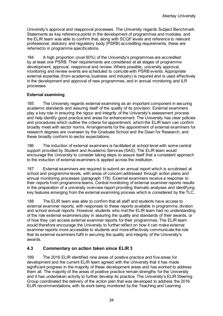University's approval and reapproval processes. The University regards Subject Benchmark Statements as key reference points in the development of programmes and modules, and the ELIR team was able to confirm that, along with SCQF levels and reference to relevant professional, statutory and regulatory body (PSRB) accrediting requirements, these are referred to in programme specifications.

184 A high proportion (over 60%) of the University's programmes are accredited by at least one PSRB. Their requirements are considered at all stages of programme development, approval, reapproval and review. Where possible, university approval, monitoring and review events are scheduled to coincide with PSRB events. Appropriate external expertise (from academia, business and industry) is required and is used effectively in the development and approval of new programmes, and in annual monitoring and ILR processes.

#### **External examining**

185 The University regards external examining as an important component in securing academic standards and assuring itself of the quality of its provision. External examiners play a key role in ensuring the rigour and integrity of the University's assessment process and help identify good practice and areas for enhancement. The University has clear policies and procedures which outline the criteria for appointment, which the ELIR team can confirm broadly meet with sector norms. Arrangements for the appointment of external examiners for research degrees are overseen by the Graduate School and the Dean for Research, and these broadly conform to sector expectations.

186 The induction of external examiners is facilitated at school level with some central support provided by Student and Academic Services (SAS). The ELIR team would encourage the University to consider taking steps to assure itself that a consistent approach to the induction of external examiners is applied across the institution.

187 External examiners are required to submit an annual report which is scrutinised at school and programme levels, with areas of concern addressed through action plans and annual monitoring processes (paragraph 178). External examiners receive a response to their reports from programme teams. Central monitoring of external examiner reports results in the preparation of a university overview report providing thematic analyses and identifying key features emerging from the external examining process which is considered by the TLC.

188 The ELIR team was able to confirm that all staff and students have access to external examiner reports, with responses to these reports available in programme, division and school annual reports. However, students who met the ELIR team had no understanding of the role external examiners play in assuring the quality and standards of their awards, or of how they can access external examiner reports for their programmes. The ELIR team would therefore encourage the University to further reflect on how it can make external examiner reports more accessible to students and more effectively communicate the role that its external examiners fulfil in securing the quality and integrity of the University's awards.

# **4.3 Commentary on action taken since ELIR 3**

189 The 2016 ELIR identified nine areas of positive practice and five areas for development and the current ELIR team agreed with the University that it has made significant progress in the majority of these development areas and has worked to address them all. The majority of the areas of positive practice remain strengths for the University and it has undertaken activity to further develop its practice. The University's ELIR Steering Group coordinated the delivery of the action plan that was developed to address the 2016 ELIR recommendations, with its work being monitored by the Teaching and Learning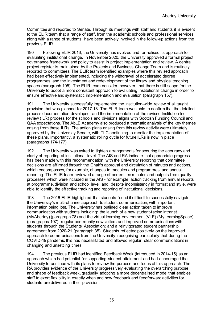Committee and reported to Senate. Through its meetings with staff and students it is evident to the ELIR team that a range of staff, from the academic schools and professional services, along with a range of students, have been actively involved in the follow-up actions from the previous ELIR.

190 Following ELIR 2016, the University has evolved and formalised its approach to evaluating institutional change. In November 2020, the University approved a formal project governance framework and policy to assist in project implementation and review. A central project register is maintained by the Projects and Business Change Team and is routinely reported to committees. The ELIR team identified examples where this revised approach had been effectively implemented, including the withdrawal of accelerated degree programmes, and the investment and redevelopment of the library and physical teaching spaces (paragraph 105). The ELIR team consider, however, that there is still scope for the University to adopt a more consistent approach to evaluating institutional change in order to ensure effective and systematic implementation and evaluation (paragraph 157).

191 The University successfully implemented the institution-wide review of all taught provision that was planned for 2017-18. The ELIR team was able to confirm that the detailed process documentation developed, and the implementation of the revised Institution-led review (ILR) process for the schools and divisions aligns with Scottish Funding Council and QAA expectations. The AbLE Academy also produced a thematic analysis of the key themes arising from these ILRs. The action plans arising from this review activity were ultimately approved by the University Senate, with TLC continuing to monitor the implementation of these plans. Importantly, a systematic rolling cycle for future ILRs is now in place (paragraphs 174-177).

192 The University was asked to tighten arrangements for securing the accuracy and clarity of reporting at institutional level. The AIS and RA indicate that appropriate progress has been made with this recommendation, with the University reporting that committee decisions are affirmed through the Chair's approval and circulation of minutes and actions, which encompasses, for example, changes to modules and programmes, and annual reporting. The ELIR team reviewed a range of committee minutes and outputs from quality processes which were included in the AIS - for example, action tracking from annual reports at programme, division and school level, and, despite inconsistency in format and style, were able to identify the effective tracking and reporting of institutional decisions.

193 The 2016 ELIR highlighted that students found it difficult to successfully navigate the University's multi-channel approach to student communication, with important information being lost. The University has outlined clear action taken to improve communication with students including: the launch of a new student-facing intranet (MyAbertay) (paragraph 78) and the virtual learning environment (VLE) (MyLearningSpace) (paragraphs 107); regular community newsletters and improved communications with students through the Students' Association; and a reinvigorated student partnership agreement from 2020-21 (paragraph 35). Students reflected positively on the improved approach to communications from the University, recognising particularly that during the COVID-19 pandemic this has necessitated and allowed regular, clear communications in changing and unsettling times.

194 The previous ELIR had identified Feedback Week (introduced in 2014-15) as an approach which had potential for supporting student attainment and had encouraged the University to continue with its plans to review the purpose and focus of this approach. The RA provides evidence of the University progressively evaluating the overarching purpose and shape of feedback week, gradually adopting a more decentralised model that enables staff to exert flexibility in exactly when and how feedback and feedforward activities for students are delivered in their provision.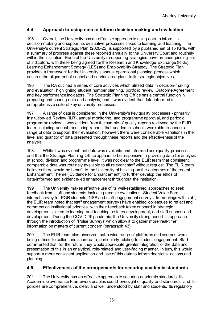# **4.4 Approach to using data to inform decision-making and evaluation**

195 Overall, the University has an effective approach to using data to inform its decision-making and support its evaluative processes linked to learning and teaching. The University's current Strategic Plan (2020-25) is supported by a published set of 15 KPIs, with a summary of progress against these reported annually to the University Court and routinely within the institution. Each of the University's supporting strategies have an underpinning set of indicators, with these being agreed for the Research and Knowledge Exchange (RKE), Learning Enhancement Strategy (LES) and Employability Strategy. The Strategic Plan provides a framework for the University's annual operational planning process which ensures the alignment of school and service area plans to its strategic objectives.

196 The RA outlined a series of core activities which utilised data in decision-making and evaluation, highlighting student number planning, portfolio review, Outcome Agreement and key performance indicators. The Strategic Planning Office has a central function in preparing and sharing data and analysis, and it was evident that data informed a comprehensive suite of key university processes.

197 A range of data is considered in the University's key quality processes - primarily Institution-led Review (ILR), annual monitoring, and programme approval, and periodic programme review. It was evident from the sample of quality reports reviewed by the ELIR team, including annual monitoring reports, that academic schools were able to access a range of data to support their evaluation; however, there were considerable variations in the level and quantity of data presented through these reports and the effectiveness of the analysis.

198 While it was evident that data was available and informed core quality processes, and that the Strategic Planning Office appears to be responsive in providing data for analysis at school, division and programme level, it was not clear to the ELIR team that consistent, comparable data was routinely available to all relevant staff without request. The ELIR team believes there would be benefit to the University of building on the outcomes of the recent Enhancement Theme ('Evidence for Enhancement') to further develop the ethos of data-informed and evidence-led enhancement throughout the institution.

199 The University makes effective use of its well-established approaches to seek feedback from staff and students including module evaluations, Student Voice Fora, its internal survey for PGR students, NSS and staff engagement surveys. In meetings with staff, the ELIR team noted that staff engagement surveys have enabled colleagues to reflect and comment on institutional priorities, with their feedback taken onboard in strategic developments linked to learning and teaching, estates development, and staff support and development. During the COVID-19 pandemic, the University strengthened its approach through the introduction of 'Pulse Surveys' which allow it to gather more 'real-time' information on matters of current concern (paragraph 43).

200 The ELIR team also observed that a wide range of platforms and sources were being utilised to collect and share data, particularly relating to student engagement. Staff commented that, for the future, they would appreciate greater integration of the data and presentation of this in an analytical, role-related and user-facing manner. In turn, this would support a more consistent application and use of this data to inform decisions, actions and planning.

# **4.5 Effectiveness of the arrangements for securing academic standards**

201 The University has an effective approach to securing academic standards. Its Academic Governance Framework enables sound oversight of quality and standards, and its policies are comprehensive, clear, and well understood by staff and students. Its regulatory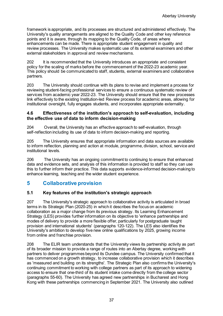framework is appropriate, and its processes are structured and administered effectively. The University's quality arrangements are aligned to the Quality Code and other key reference points and it is aware, through its mapping to the Quality Code, of areas where enhancements can be made. There is appropriate student engagement in quality and review processes. The University makes systematic use of its external examiners and other external stakeholders in approval and review mechanisms.

202 It is recommended that the University introduces an appropriate and consistent policy for the scaling of marks before the commencement of the 2022-23 academic year. This policy should be communicated to staff, students, external examiners and collaborative partners.

203 The University should continue with its plans to revise and implement a process for reviewing student-facing professional services to ensure a continuous systematic review of services from academic year 2022-23. The University should ensure that the new processes link effectively to the existing Institution-led Review process for academic areas, allowing for institutional oversight, fully engages students, and incorporates appropriate externality.

#### **4.6 Effectiveness of the institution's approach to self-evaluation, including the effective use of data to inform decision-making**

204 Overall, the University has an effective approach to self-evaluation, through self-reflection including its use of data to inform decision-making and reporting.

205 The University ensures that appropriate information and data sources are available to inform reflection, planning and action at module, programme, division, school, service and institutional levels.

206 The University has an ongoing commitment to continuing to ensure that enhanced data and evidence sets, and analysis of this information is provided to staff so they can use this to further inform their practice. This data supports evidence-informed decision-making to enhance learning, teaching and the wider student experience.

# <span id="page-38-0"></span>**5 Collaborative provision**

# **5.1 Key features of the institution's strategic approach**

207 The University's strategic approach to collaborative activity is articulated in broad terms in its Strategic Plan (2020-25) in which it describes the focus on academic collaboration as a major change from its previous strategy. Its Learning Enhancement Strategy (LES) provides further information on its objective to 'enhance partnerships and modes of delivery to provide a more flexible offer, particularly for postgraduate taught provision and international students' (paragraphs 120-122). The LES also identifies the University's ambition to develop five new online qualifications by 2025, growing income from online and franchise provision.

208 The ELIR team understands that the University views its partnership activity as part of its broader mission to provide a range of routes into an Abertay degree, working with partners to deliver programmes beyond its Dundee campus. The University confirmed that it has commenced on a growth strategy, to increase collaborative provision which it describes as 'measured and building on its strengths'. The Strategic Plan also confirms the University's continuing commitment to working with college partners as part of its approach to widening access to ensure that one-third of its student intake come directly from the college sector (paragraphs 55-60). The University has agreed new partnerships in Bucharest and Hong Kong with these partnerships commencing in September 2021. The University also outlined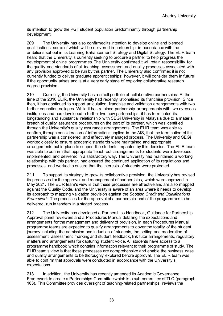its intention to grow the PGT student population predominantly through partnership development.

209 The University has also confirmed its intention to develop online and blended qualifications, some of which will be delivered in partnership, in accordance with the ambitions set out in its Learning Enhancement Strategy and Digital Strategy. The ELIR team heard that the University is currently seeking to procure a partner to help progress the development of online programmes. The University confirmed it will retain responsibility for the quality and standards of all teaching, assessment and quality processes associated with any provision approved to be run by this partner. The University also confirmed it is not currently funded to deliver graduate apprenticeships; however, it will consider them in future if the opportunity arises and is at a very early stage of exploring collaborative research degree provision.

210 Currently, the University has a small portfolio of collaborative partnerships. At the time of the 2016 ELIR, the University had recently rationalised its franchise provision. Since then, it has continued to support articulation, franchise and validation arrangements with two further education colleges. While it has retained partnership arrangements with two overseas institutions and has developed a further two new partnerships, it has terminated its longstanding and substantial relationship with SEGi University in Malaysia due to a material breach of quality assurance procedures on the part of its partner, which was identified through the University's quality assurance arrangements. The ELIR team was able to confirm, through consideration of information supplied in the AIS, that the termination of this partnership was a considered, and effectively managed process. The University and SEGi worked closely to ensure academic standards were maintained and appropriate arrangements put in place to support the students impacted by this decision. The ELIR team was able to confirm that appropriate 'teach-out' arrangements for students were developed, implemented, and delivered in a satisfactory way. The University had maintained a working relationship with this partner, had ensured the continued application of its regulations and processes, and worked to ensure that the interests of students were protected.

211 To support its strategy to grow its collaborative provision, the University has revised its processes for the approval and management of partnerships, which were approved in May 2021. The ELIR team's view is that these processes are effective and are also mapped against the Quality Code, and the University is aware of an area where it needs to develop its approach to mapping validation provision against the *Scottish Credit and Qualifications Framework.* The processes for the approval of a partnership and of the programmes to be delivered, run in tandem in a staged process.

212 The University has developed a Partnerships Handbook, Guidance for Partnership Approval panel reviewers and a Procedures Manual detailing the expectations and arrangements for the management and delivery of provision. In each Procedures Manual, programme teams are expected to qualify arrangements to cover the totality of the student journey including the admission and induction of students, the setting and moderation of assessment, assessment marking and student feedback, link tutor arrangements, regulatory matters and arrangements for capturing student voice. All students have access to a programme handbook which contains information relevant to their programme of study. The ELIR team's view is that these processes are comprehensive and enable the business case and quality arrangements to be thoroughly explored before approval. The ELIR team was able to confirm that approvals were conducted in accordance with the University's expectations.

213 In addition, the University has recently amended its Academic Governance Framework to create a Partnerships Committee which is a sub-committee of TLC (paragraph 163). This Committee provides oversight of teaching-related partnerships, reviews the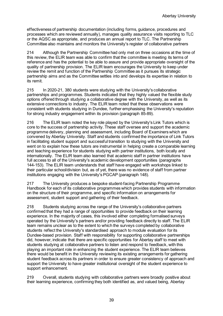effectiveness of partnership documentation (including forms, guidance, procedures and processes which are reviewed annually), manages quality assurance visits reporting to TLC or the AQSC as appropriate, and produces an annual report to TLC. The Partnership Committee also maintains and monitors the University's register of collaborative partners

214 Although the Partnership Committee had only met on three occasions at the time of this review, the ELIR team was able to confirm that the committee is meeting its terms of reference and has the potential to be able to assure and provide appropriate oversight of the quality of partnership provision. The ELIR team encourages the University to keep under review the remit and function of the Partnership Committee as it pursues its strategic partnership aims and as the Committee settles into and develops its expertise in relation to its remit.

215 In 2020-21, 380 students were studying with the University's collaborative partnerships and programmes. Students indicated that they highly valued the flexible study options offered through studying a collaborative degree with the University, as well as its extensive connections to industry. The ELIR team noted that these observations were consistent with students studying in Dundee, further emphasising the University's reputation for strong industry engagement within its provision (paragraph 85-89).

216 The ELIR team noted the key role played by the University's Link Tutors which is core to the success of partnership activity. These staff oversee and support the academic programme delivery, planning and assessment, including Board of Examiners which are convened by Abertay University. Staff and students confirmed the importance of Link Tutors in facilitating student support and successful transition to studying with the University and went on to explain how these tutors are instrumental in helping create a comparable learning and teaching experience for students studying with partner institutions, both locally and internationally. The ELIR team also learned that academic staff in partner institutions have full access to all of the University's academic development opportunities (paragraphs 144-153). The ELIR team understands that staff have engaged with workshops linked to their particular school/division but, as of yet, there was no evidence of staff from partner institutions engaging with the University's PGCAP (paragraph 148).

217 The University produces a bespoke student-facing Partnership Programme Handbook for each of its collaborative programmes which provides students with information on the structure of their programme, and specific information on arrangements for assessment, student support and gathering of their feedback.

218 Students studying across the range of the University's collaborative partners confirmed that they had a range of opportunities to provide feedback on their learning experience. In the majority of cases, this involved either completing formalised surveys operated by the University's partners and/or providing feedback directly to staff. The ELIR team remains unclear as to the extent to which the surveys completed by collaborative students reflect the University's standardised approach to module evaluation for its Dundee-based provision. Staff with responsibility for supporting collaborative partnerships did, however, indicate that there are specific opportunities for Abertay staff to meet with students studying at collaborative partners to listen and respond to feedback, with this playing an important role in enhancing the student experience. The ELIR team believes there would be benefit in the University reviewing its existing arrangements for gathering student feedback across its partners in order to ensure greater consistency of approach and support the University to have greater institutional oversight of the student experience to support enhancement.

219 Overall, students studying with collaborative partners were broadly positive about their learning experience, confirming they both identified as, and valued being, Abertay